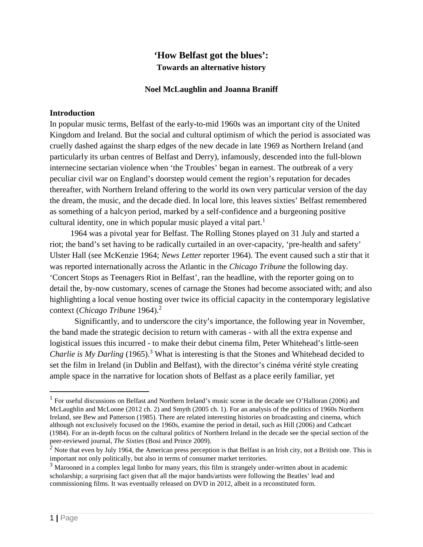# **'How Belfast got the blues': Towards an alternative history**

### **Noel McLaughlin and Joanna Braniff**

### **Introduction**

In popular music terms, Belfast of the early-to-mid 1960s was an important city of the United Kingdom and Ireland. But the social and cultural optimism of which the period is associated was cruelly dashed against the sharp edges of the new decade in late 1969 as Northern Ireland (and particularly its urban centres of Belfast and Derry), infamously, descended into the full-blown internecine sectarian violence when 'the Troubles' began in earnest. The outbreak of a very peculiar civil war on England's doorstep would cement the region's reputation for decades thereafter, with Northern Ireland offering to the world its own very particular version of the day the dream, the music, and the decade died. In local lore, this leaves sixties' Belfast remembered as something of a halcyon period, marked by a self-confidence and a burgeoning positive cultural identity, one in which popular music played a vital part. $<sup>1</sup>$ </sup>

 1964 was a pivotal year for Belfast. The Rolling Stones played on 31 July and started a riot; the band's set having to be radically curtailed in an over-capacity, 'pre-health and safety' Ulster Hall (see McKenzie 1964; *News Letter* reporter 1964). The event caused such a stir that it was reported internationally across the Atlantic in the *Chicago Tribune* the following day. 'Concert Stops as Teenagers Riot in Belfast', ran the headline, with the reporter going on to detail the, by-now customary, scenes of carnage the Stones had become associated with; and also highlighting a local venue hosting over twice its official capacity in the contemporary legislative context (*Chicago Tribune* 1964).<sup>2</sup>

Significantly, and to underscore the city's importance, the following year in November, the band made the strategic decision to return with cameras - with all the extra expense and logistical issues this incurred - to make their debut cinema film, Peter Whitehead's little-seen *Charlie is My Darling* (1965).<sup>3</sup> What is interesting is that the Stones and Whitehead decided to set the film in Ireland (in Dublin and Belfast), with the director's cinéma vérité style creating ample space in the narrative for location shots of Belfast as a place eerily familiar, yet

<sup>&</sup>lt;sup>1</sup> For useful discussions on Belfast and Northern Ireland's music scene in the decade see O'Halloran (2006) and McLaughlin and McLoone (2012 ch. 2) and Smyth (2005 ch. 1). For an analysis of the politics of 1960s Northern Ireland, see Bew and Patterson (1985). There are related interesting histories on broadcasting and cinema, which although not exclusively focused on the 1960s, examine the period in detail, such as Hill (2006) and Cathcart (1984). For an in-depth focus on the cultural politics of Northern Ireland in the decade see the special section of the peer-reviewed journal, *The Sixties* (Bosi and Prince 2009).

<sup>&</sup>lt;sup>2</sup> Note that even by July 1964, the American press perception is that Belfast is an Irish city, not a British one. This is important not only politically, but also in terms of consumer market territories.

<sup>&</sup>lt;sup>3</sup> Marooned in a complex legal limbo for many years, this film is strangely under-written about in academic scholarship; a surprising fact given that all the major bands/artists were following the Beatles' lead and commissioning films. It was eventually released on DVD in 2012, albeit in a reconstituted form.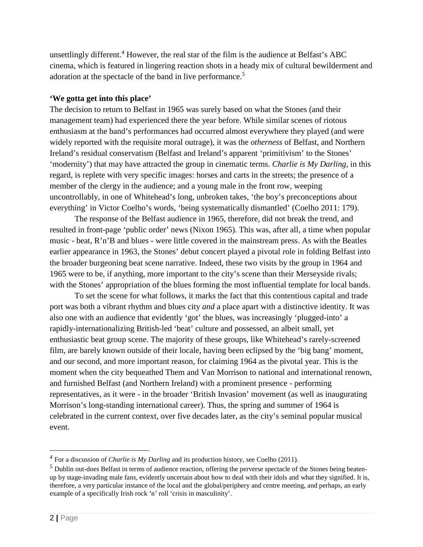unsettlingly different.<sup>4</sup> However, the real star of the film is the audience at Belfast's ABC cinema, which is featured in lingering reaction shots in a heady mix of cultural bewilderment and adoration at the spectacle of the band in live performance.<sup>5</sup>

### **'We gotta get into this place'**

The decision to return to Belfast in 1965 was surely based on what the Stones (and their management team) had experienced there the year before. While similar scenes of riotous enthusiasm at the band's performances had occurred almost everywhere they played (and were widely reported with the requisite moral outrage), it was the *otherness* of Belfast, and Northern Ireland's residual conservatism (Belfast and Ireland's apparent 'primitivism' to the Stones' 'modernity') that may have attracted the group in cinematic terms. *Charlie is My Darling*, in this regard, is replete with very specific images: horses and carts in the streets; the presence of a member of the clergy in the audience; and a young male in the front row, weeping uncontrollably, in one of Whitehead's long, unbroken takes, 'the boy's preconceptions about everything' in Victor Coelho's words, 'being systematically dismantled' (Coelho 2011: 179).

The response of the Belfast audience in 1965, therefore, did not break the trend, and resulted in front-page 'public order' news (Nixon 1965). This was, after all, a time when popular music - beat, R'n'B and blues - were little covered in the mainstream press. As with the Beatles earlier appearance in 1963, the Stones' debut concert played a pivotal role in folding Belfast into the broader burgeoning beat scene narrative. Indeed, these two visits by the group in 1964 and 1965 were to be, if anything, more important to the city's scene than their Merseyside rivals; with the Stones' appropriation of the blues forming the most influential template for local bands.

To set the scene for what follows, it marks the fact that this contentious capital and trade port was both a vibrant rhythm and blues city *and* a place apart with a distinctive identity. It was also one with an audience that evidently 'got' the blues, was increasingly 'plugged-into' a rapidly-internationalizing British-led 'beat' culture and possessed, an albeit small, yet enthusiastic beat group scene. The majority of these groups, like Whitehead's rarely-screened film, are barely known outside of their locale, having been eclipsed by the 'big bang' moment, and our second, and more important reason, for claiming 1964 as the pivotal year. This is the moment when the city bequeathed Them and Van Morrison to national and international renown, and furnished Belfast (and Northern Ireland) with a prominent presence - performing representatives, as it were - in the broader 'British Invasion' movement (as well as inaugurating Morrison's long-standing international career). Thus, the spring and summer of 1964 is celebrated in the current context, over five decades later, as the city's seminal popular musical event.

 <sup>4</sup> For <sup>a</sup> discussion of *Charlie is My Darling* and its production history, see Coelho (2011).

<sup>&</sup>lt;sup>5</sup> Dublin out-does Belfast in terms of audience reaction, offering the perverse spectacle of the Stones being beatenup by stage-invading male fans, evidently uncertain about how to deal with their idols and what they signified. It is, therefore, a very particular instance of the local and the global/periphery and centre meeting, and perhaps, an early example of a specifically Irish rock 'n' roll 'crisis in masculinity'.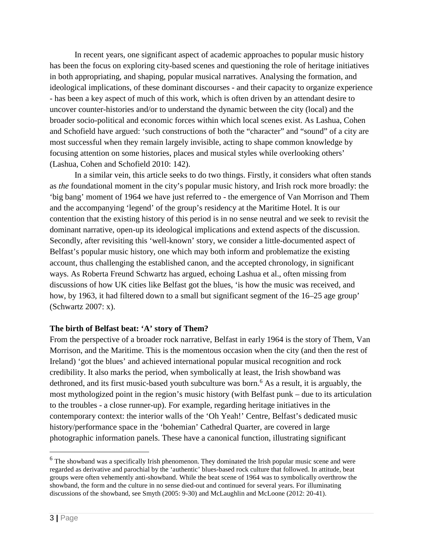In recent years, one significant aspect of academic approaches to popular music history has been the focus on exploring city-based scenes and questioning the role of heritage initiatives in both appropriating, and shaping, popular musical narratives. Analysing the formation, and ideological implications, of these dominant discourses - and their capacity to organize experience - has been a key aspect of much of this work, which is often driven by an attendant desire to uncover counter-histories and/or to understand the dynamic between the city (local) and the broader socio-political and economic forces within which local scenes exist. As Lashua, Cohen and Schofield have argued: 'such constructions of both the "character" and "sound" of a city are most successful when they remain largely invisible, acting to shape common knowledge by focusing attention on some histories, places and musical styles while overlooking others' (Lashua, Cohen and Schofield 2010: 142).

In a similar vein, this article seeks to do two things. Firstly, it considers what often stands as *the* foundational moment in the city's popular music history, and Irish rock more broadly: the 'big bang' moment of 1964 we have just referred to - the emergence of Van Morrison and Them and the accompanying 'legend' of the group's residency at the Maritime Hotel. It is our contention that the existing history of this period is in no sense neutral and we seek to revisit the dominant narrative, open-up its ideological implications and extend aspects of the discussion. Secondly, after revisiting this 'well-known' story, we consider a little-documented aspect of Belfast's popular music history, one which may both inform and problematize the existing account, thus challenging the established canon, and the accepted chronology, in significant ways. As Roberta Freund Schwartz has argued, echoing Lashua et al., often missing from discussions of how UK cities like Belfast got the blues, 'is how the music was received, and how, by 1963, it had filtered down to a small but significant segment of the 16–25 age group' (Schwartz 2007: x).

# **The birth of Belfast beat: 'A' story of Them?**

From the perspective of a broader rock narrative, Belfast in early 1964 is the story of Them, Van Morrison, and the Maritime. This is the momentous occasion when the city (and then the rest of Ireland) 'got the blues' and achieved international popular musical recognition and rock credibility. It also marks the period, when symbolically at least, the Irish showband was dethroned, and its first music-based youth subculture was born.<sup>6</sup> As a result, it is arguably, the most mythologized point in the region's music history (with Belfast punk – due to its articulation to the troubles - a close runner-up). For example, regarding heritage initiatives in the contemporary context: the interior walls of the 'Oh Yeah!' Centre, Belfast's dedicated music history/performance space in the 'bohemian' Cathedral Quarter, are covered in large photographic information panels. These have a canonical function, illustrating significant

<sup>&</sup>lt;sup>6</sup> The showband was a specifically Irish phenomenon. They dominated the Irish popular music scene and were regarded as derivative and parochial by the 'authentic' blues-based rock culture that followed. In attitude, beat groups were often vehemently anti-showband. While the beat scene of 1964 was to symbolically overthrow the showband, the form and the culture in no sense died-out and continued for several years. For illuminating discussions of the showband, see Smyth (2005: 9-30) and McLaughlin and McLoone (2012: 20-41).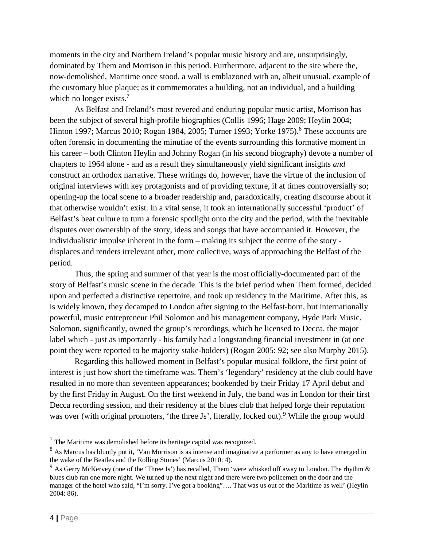moments in the city and Northern Ireland's popular music history and are, unsurprisingly, dominated by Them and Morrison in this period. Furthermore, adjacent to the site where the, now-demolished, Maritime once stood, a wall is emblazoned with an, albeit unusual, example of the customary blue plaque; as it commemorates a building, not an individual, and a building which no longer exists.<sup>7</sup>

As Belfast and Ireland's most revered and enduring popular music artist, Morrison has been the subject of several high-profile biographies (Collis 1996; Hage 2009; Heylin 2004; Hinton 1997; Marcus 2010; Rogan 1984, 2005; Turner 1993; Yorke 1975).<sup>8</sup> These accounts are often forensic in documenting the minutiae of the events surrounding this formative moment in his career – both Clinton Heylin and Johnny Rogan (in his second biography) devote a number of chapters to 1964 alone - and as a result they simultaneously yield significant insights *and* construct an orthodox narrative. These writings do, however, have the virtue of the inclusion of original interviews with key protagonists and of providing texture, if at times controversially so; opening-up the local scene to a broader readership and, paradoxically, creating discourse about it that otherwise wouldn't exist. In a vital sense, it took an internationally successful 'product' of Belfast's beat culture to turn a forensic spotlight onto the city and the period, with the inevitable disputes over ownership of the story, ideas and songs that have accompanied it. However, the individualistic impulse inherent in the form – making its subject the centre of the story displaces and renders irrelevant other, more collective, ways of approaching the Belfast of the period.

Thus, the spring and summer of that year is the most officially-documented part of the story of Belfast's music scene in the decade. This is the brief period when Them formed, decided upon and perfected a distinctive repertoire, and took up residency in the Maritime. After this, as is widely known, they decamped to London after signing to the Belfast-born, but internationally powerful, music entrepreneur Phil Solomon and his management company, Hyde Park Music. Solomon, significantly, owned the group's recordings, which he licensed to Decca, the major label which - just as importantly - his family had a longstanding financial investment in (at one point they were reported to be majority stake-holders) (Rogan 2005: 92; see also Murphy 2015).

Regarding this hallowed moment in Belfast's popular musical folklore, the first point of interest is just how short the timeframe was. Them's 'legendary' residency at the club could have resulted in no more than seventeen appearances; bookended by their Friday 17 April debut and by the first Friday in August. On the first weekend in July, the band was in London for their first Decca recording session, and their residency at the blues club that helped forge their reputation was over (with original promoters, 'the three Js', literally, locked out).<sup>9</sup> While the group would

 $<sup>7</sup>$  The Maritime was demolished before its heritage capital was recognized.</sup>

<sup>&</sup>lt;sup>8</sup> As Marcus has bluntly put it, 'Van Morrison is as intense and imaginative a performer as any to have emerged in the wake of the Beatles and the Rolling Stones' (Marcus 2010: 4).

<sup>&</sup>lt;sup>9</sup> As Gerry McKervey (one of the 'Three Js') has recalled, Them 'were whisked off away to London. The rhythm  $\&$ blues club ran one more night. We turned up the next night and there were two policemen on the door and the manager of the hotel who said, "I'm sorry. I've got a booking"…. That was us out of the Maritime as well' (Heylin 2004: 86).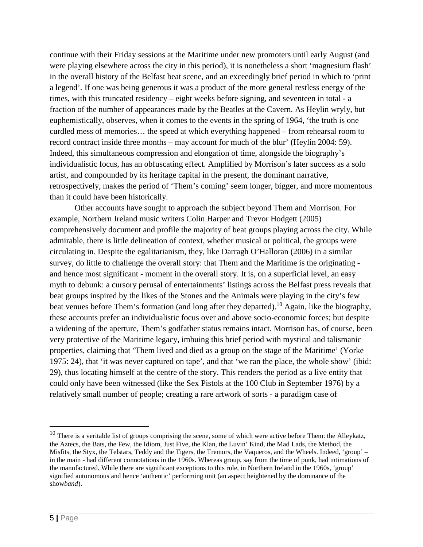continue with their Friday sessions at the Maritime under new promoters until early August (and were playing elsewhere across the city in this period), it is nonetheless a short 'magnesium flash' in the overall history of the Belfast beat scene, and an exceedingly brief period in which to 'print a legend'. If one was being generous it was a product of the more general restless energy of the times, with this truncated residency – eight weeks before signing, and seventeen in total - a fraction of the number of appearances made by the Beatles at the Cavern. As Heylin wryly, but euphemistically, observes, when it comes to the events in the spring of 1964, 'the truth is one curdled mess of memories… the speed at which everything happened – from rehearsal room to record contract inside three months – may account for much of the blur' (Heylin 2004: 59). Indeed, this simultaneous compression and elongation of time, alongside the biography's individualistic focus, has an obfuscating effect. Amplified by Morrison's later success as a solo artist, and compounded by its heritage capital in the present, the dominant narrative, retrospectively, makes the period of 'Them's coming' seem longer, bigger, and more momentous than it could have been historically.

Other accounts have sought to approach the subject beyond Them and Morrison. For example, Northern Ireland music writers Colin Harper and Trevor Hodgett (2005) comprehensively document and profile the majority of beat groups playing across the city. While admirable, there is little delineation of context, whether musical or political, the groups were circulating in. Despite the egalitarianism, they, like Darragh O'Halloran (2006) in a similar survey, do little to challenge the overall story: that Them and the Maritime is the originating and hence most significant - moment in the overall story. It is, on a superficial level, an easy myth to debunk: a cursory perusal of entertainments' listings across the Belfast press reveals that beat groups inspired by the likes of the Stones and the Animals were playing in the city's few beat venues before Them's formation (and long after they departed).<sup>10</sup> Again, like the biography, these accounts prefer an individualistic focus over and above socio-economic forces; but despite a widening of the aperture, Them's godfather status remains intact. Morrison has, of course, been very protective of the Maritime legacy, imbuing this brief period with mystical and talismanic properties, claiming that 'Them lived and died as a group on the stage of the Maritime' (Yorke 1975: 24), that 'it was never captured on tape', and that 'we ran the place, the whole show' (ibid: 29), thus locating himself at the centre of the story. This renders the period as a live entity that could only have been witnessed (like the Sex Pistols at the 100 Club in September 1976) by a relatively small number of people; creating a rare artwork of sorts - a paradigm case of

 $10$  There is a veritable list of groups comprising the scene, some of which were active before Them: the Alleykatz, the Aztecs, the Bats, the Few, the Idiom, Just Five, the Klan, the Luvin' Kind, the Mad Lads, the Method, the Misfits, the Styx, the Telstars, Teddy and the Tigers, the Tremors, the Vaqueros, and the Wheels. Indeed, 'group' – in the main - had different connotations in the 1960s. Whereas group, say from the time of punk, had intimations of the manufactured. While there are significant exceptions to this rule, in Northern Ireland in the 1960s, 'group' signified autonomous and hence 'authentic' performing unit (an aspect heightened by the dominance of the show*band*).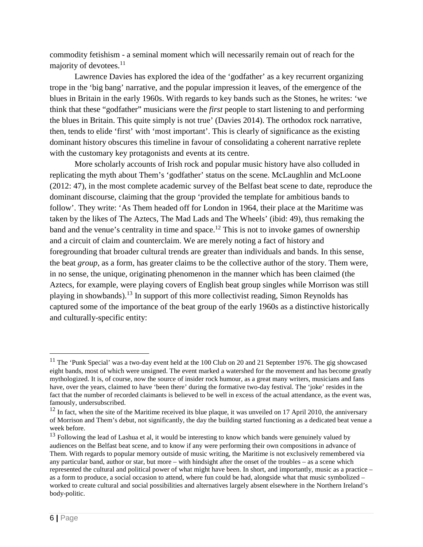commodity fetishism - a seminal moment which will necessarily remain out of reach for the majority of devotees.<sup>11</sup>

Lawrence Davies has explored the idea of the 'godfather' as a key recurrent organizing trope in the 'big bang' narrative, and the popular impression it leaves, of the emergence of the blues in Britain in the early 1960s. With regards to key bands such as the Stones, he writes: 'we think that these "godfather" musicians were the *first* people to start listening to and performing the blues in Britain. This quite simply is not true' (Davies 2014). The orthodox rock narrative, then, tends to elide 'first' with 'most important'. This is clearly of significance as the existing dominant history obscures this timeline in favour of consolidating a coherent narrative replete with the customary key protagonists and events at its centre.

More scholarly accounts of Irish rock and popular music history have also colluded in replicating the myth about Them's 'godfather' status on the scene. McLaughlin and McLoone (2012: 47), in the most complete academic survey of the Belfast beat scene to date, reproduce the dominant discourse, claiming that the group 'provided the template for ambitious bands to follow'. They write: 'As Them headed off for London in 1964, their place at the Maritime was taken by the likes of The Aztecs, The Mad Lads and The Wheels' (ibid: 49), thus remaking the band and the venue's centrality in time and space.<sup>12</sup> This is not to invoke games of ownership and a circuit of claim and counterclaim. We are merely noting a fact of history and foregrounding that broader cultural trends are greater than individuals and bands. In this sense, the beat *group*, as a form, has greater claims to be the collective author of the story. Them were, in no sense, the unique, originating phenomenon in the manner which has been claimed (the Aztecs, for example, were playing covers of English beat group singles while Morrison was still playing in showbands).<sup>13</sup> In support of this more collectivist reading, Simon Reynolds has captured some of the importance of the beat group of the early 1960s as a distinctive historically and culturally-specific entity:

<sup>&</sup>lt;sup>11</sup> The 'Punk Special' was a two-day event held at the 100 Club on 20 and 21 September 1976. The gig showcased eight bands, most of which were unsigned. The event marked a watershed for the movement and has become greatly mythologized. It is, of course, now the source of insider rock humour, as a great many writers, musicians and fans have, over the years, claimed to have 'been there' during the formative two-day festival. The 'joke' resides in the fact that the number of recorded claimants is believed to be well in excess of the actual attendance, as the event was, famously, undersubscribed.

 $12$  In fact, when the site of the Maritime received its blue plaque, it was unveiled on 17 April 2010, the anniversary of Morrison and Them's debut, not significantly, the day the building started functioning as a dedicated beat venue a week before.

 $13$  Following the lead of Lashua et al, it would be interesting to know which bands were genuinely valued by audiences on the Belfast beat scene, and to know if any were performing their own compositions in advance of Them. With regards to popular memory outside of music writing, the Maritime is not exclusively remembered via any particular band, author or star, but more – with hindsight after the onset of the troubles – as a scene which represented the cultural and political power of what might have been. In short, and importantly, music as a practice – as a form to produce, a social occasion to attend, where fun could be had, alongside what that music symbolized – worked to create cultural and social possibilities and alternatives largely absent elsewhere in the Northern Ireland's body-politic.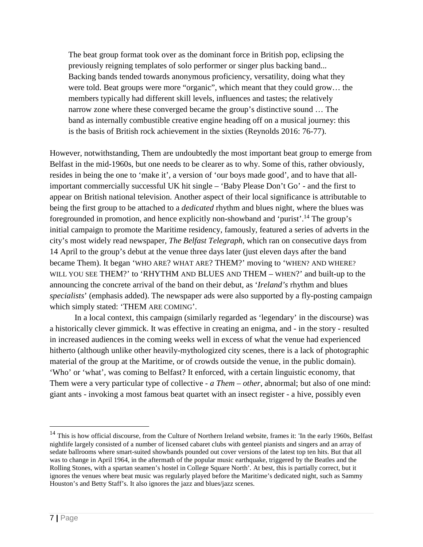The beat group format took over as the dominant force in British pop, eclipsing the previously reigning templates of solo performer or singer plus backing band... Backing bands tended towards anonymous proficiency, versatility, doing what they were told. Beat groups were more "organic", which meant that they could grow… the members typically had different skill levels, influences and tastes; the relatively narrow zone where these converged became the group's distinctive sound … The band as internally combustible creative engine heading off on a musical journey: this is the basis of British rock achievement in the sixties (Reynolds 2016: 76-77).

However, notwithstanding, Them are undoubtedly the most important beat group to emerge from Belfast in the mid-1960s, but one needs to be clearer as to why. Some of this, rather obviously, resides in being the one to 'make it', a version of 'our boys made good', and to have that allimportant commercially successful UK hit single – 'Baby Please Don't Go' - and the first to appear on British national television. Another aspect of their local significance is attributable to being the first group to be attached to a *dedicated* rhythm and blues night, where the blues was foregrounded in promotion, and hence explicitly non-showband and 'purist'. <sup>14</sup> The group's initial campaign to promote the Maritime residency, famously, featured a series of adverts in the city's most widely read newspaper, *The Belfast Telegraph*, which ran on consecutive days from 14 April to the group's debut at the venue three days later (just eleven days after the band became Them). It began 'WHO ARE? WHAT ARE? THEM?' moving to 'WHEN? AND WHERE? WILL YOU SEE THEM?' to 'RHYTHM AND BLUES AND THEM – WHEN?' and built-up to the announcing the concrete arrival of the band on their debut, as '*Ireland's* rhythm and blues *specialists*' (emphasis added). The newspaper ads were also supported by a fly-posting campaign which simply stated: 'THEM ARE COMING'.

In a local context, this campaign (similarly regarded as 'legendary' in the discourse) was a historically clever gimmick. It was effective in creating an enigma, and - in the story - resulted in increased audiences in the coming weeks well in excess of what the venue had experienced hitherto (although unlike other heavily-mythologized city scenes, there is a lack of photographic material of the group at the Maritime, or of crowds outside the venue, in the public domain). 'Who' or 'what', was coming to Belfast? It enforced, with a certain linguistic economy, that Them were a very particular type of collective - *a Them* – *other*, abnormal; but also of one mind: giant ants - invoking a most famous beat quartet with an insect register - a hive, possibly even

 $14$  This is how official discourse, from the Culture of Northern Ireland website, frames it: 'In the early 1960s, Belfast nightlife largely consisted of a number of licensed cabaret clubs with genteel pianists and singers and an array of sedate ballrooms where smart-suited showbands pounded out cover versions of the latest top ten hits. But that all was to change in April 1964, in the aftermath of the popular music earthquake, triggered by the Beatles and the Rolling Stones, with a spartan seamen's hostel in College Square North'. At best, this is partially correct, but it ignores the venues where beat music was regularly played before the Maritime's dedicated night, such as Sammy Houston's and Betty Staff's. It also ignores the jazz and blues/jazz scenes.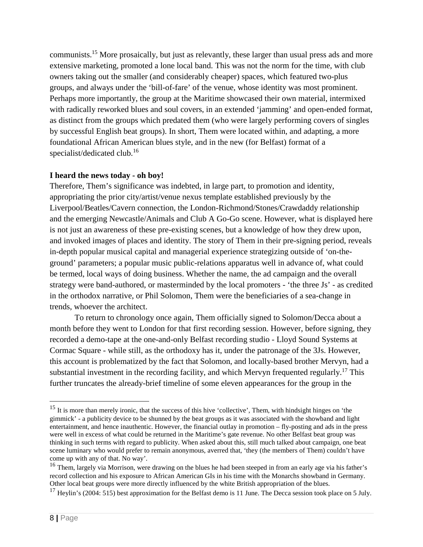communists.15 More prosaically, but just as relevantly, these larger than usual press ads and more extensive marketing, promoted a lone local band. This was not the norm for the time, with club owners taking out the smaller (and considerably cheaper) spaces, which featured two-plus groups, and always under the 'bill-of-fare' of the venue, whose identity was most prominent. Perhaps more importantly, the group at the Maritime showcased their own material, intermixed with radically reworked blues and soul covers, in an extended 'jamming' and open-ended format, as distinct from the groups which predated them (who were largely performing covers of singles by successful English beat groups). In short, Them were located within, and adapting, a more foundational African American blues style, and in the new (for Belfast) format of a specialist/dedicated club.<sup>16</sup>

### **I heard the news today - oh boy!**

Therefore, Them's significance was indebted, in large part, to promotion and identity, appropriating the prior city/artist/venue nexus template established previously by the Liverpool/Beatles/Cavern connection, the London-Richmond/Stones/Crawdaddy relationship and the emerging Newcastle/Animals and Club A Go-Go scene. However, what is displayed here is not just an awareness of these pre-existing scenes, but a knowledge of how they drew upon, and invoked images of places and identity. The story of Them in their pre-signing period, reveals in-depth popular musical capital and managerial experience strategizing outside of 'on-theground' parameters; a popular music public-relations apparatus well in advance of, what could be termed, local ways of doing business. Whether the name, the ad campaign and the overall strategy were band-authored, or masterminded by the local promoters - 'the three Js' - as credited in the orthodox narrative, or Phil Solomon, Them were the beneficiaries of a sea-change in trends, whoever the architect.

To return to chronology once again, Them officially signed to Solomon/Decca about a month before they went to London for that first recording session. However, before signing, they recorded a demo-tape at the one-and-only Belfast recording studio - Lloyd Sound Systems at Cormac Square - while still, as the orthodoxy has it, under the patronage of the 3Js. However, this account is problematized by the fact that Solomon, and locally-based brother Mervyn, had a substantial investment in the recording facility, and which Mervyn frequented regularly.<sup>17</sup> This further truncates the already-brief timeline of some eleven appearances for the group in the

 $15$  It is more than merely ironic, that the success of this hive 'collective', Them, with hindsight hinges on 'the gimmick' - a publicity device to be shunned by the beat groups as it was associated with the showband and light entertainment, and hence inauthentic. However, the financial outlay in promotion – fly-posting and ads in the press were well in excess of what could be returned in the Maritime's gate revenue. No other Belfast beat group was thinking in such terms with regard to publicity. When asked about this, still much talked about campaign, one beat scene luminary who would prefer to remain anonymous, averred that, 'they (the members of Them) couldn't have come up with any of that. No way'.

<sup>&</sup>lt;sup>16</sup> Them, largely via Morrison, were drawing on the blues he had been steeped in from an early age via his father's record collection and his exposure to African American GIs in his time with the Monarchs showband in Germany. Other local beat groups were more directly influenced by the white British appropriation of the blues.

 $17$  Heylin's (2004: 515) best approximation for the Belfast demo is 11 June. The Decca session took place on 5 July.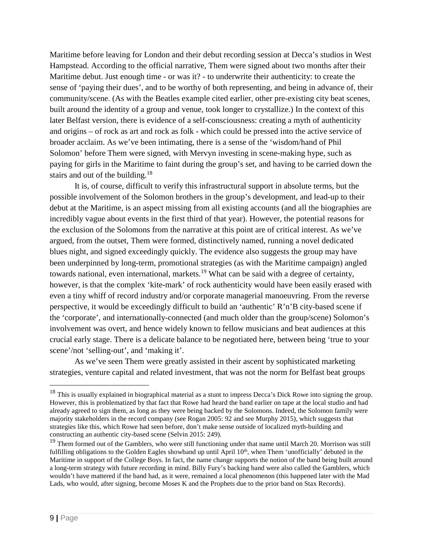Maritime before leaving for London and their debut recording session at Decca's studios in West Hampstead. According to the official narrative, Them were signed about two months after their Maritime debut. Just enough time - or was it? - to underwrite their authenticity: to create the sense of 'paying their dues', and to be worthy of both representing, and being in advance of, their community/scene. (As with the Beatles example cited earlier, other pre-existing city beat scenes, built around the identity of a group and venue, took longer to crystallize.) In the context of this later Belfast version, there is evidence of a self-consciousness: creating a myth of authenticity and origins – of rock as art and rock as folk - which could be pressed into the active service of broader acclaim. As we've been intimating, there is a sense of the 'wisdom/hand of Phil Solomon' before Them were signed, with Mervyn investing in scene-making hype, such as paying for girls in the Maritime to faint during the group's set, and having to be carried down the stairs and out of the building.<sup>18</sup>

It is, of course, difficult to verify this infrastructural support in absolute terms, but the possible involvement of the Solomon brothers in the group's development, and lead-up to their debut at the Maritime, is an aspect missing from all existing accounts (and all the biographies are incredibly vague about events in the first third of that year). However, the potential reasons for the exclusion of the Solomons from the narrative at this point are of critical interest. As we've argued, from the outset, Them were formed, distinctively named, running a novel dedicated blues night, and signed exceedingly quickly. The evidence also suggests the group may have been underpinned by long-term, promotional strategies (as with the Maritime campaign) angled towards national, even international, markets.<sup>19</sup> What can be said with a degree of certainty, however, is that the complex 'kite-mark' of rock authenticity would have been easily erased with even a tiny whiff of record industry and/or corporate managerial manoeuvring. From the reverse perspective, it would be exceedingly difficult to build an 'authentic' R'n'B city-based scene if the 'corporate', and internationally-connected (and much older than the group/scene) Solomon's involvement was overt, and hence widely known to fellow musicians and beat audiences at this crucial early stage. There is a delicate balance to be negotiated here, between being 'true to your scene'/not 'selling-out', and 'making it'.

As we've seen Them were greatly assisted in their ascent by sophisticated marketing strategies, venture capital and related investment, that was not the norm for Belfast beat groups

<sup>&</sup>lt;sup>18</sup> This is usually explained in biographical material as a stunt to impress Decca's Dick Rowe into signing the group. However, this is problematized by that fact that Rowe had heard the band earlier on tape at the local studio and had already agreed to sign them, as long as they were being backed by the Solomons. Indeed, the Solomon family were majority stakeholders in the record company (see Rogan 2005: 92 and see Murphy 2015), which suggests that strategies like this, which Rowe had seen before, don't make sense outside of localized myth-building and constructing an authentic city-based scene (Selvin 2015: 249).

<sup>&</sup>lt;sup>19</sup> Them formed out of the Gamblers, who were still functioning under that name until March 20. Morrison was still fulfilling obligations to the Golden Eagles showband up until April  $10<sup>th</sup>$ , when Them 'unofficially' debuted in the Maritime in support of the College Boys. In fact, the name change supports the notion of the band being built around a long-term strategy with future recording in mind. Billy Fury's backing band were also called the Gamblers, which wouldn't have mattered if the band had, as it were, remained a local phenomenon (this happened later with the Mad Lads, who would, after signing, become Moses K and the Prophets due to the prior band on Stax Records).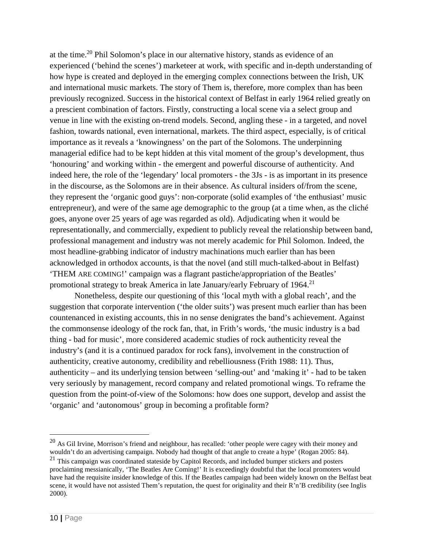at the time.20 Phil Solomon's place in our alternative history, stands as evidence of an experienced ('behind the scenes') marketeer at work, with specific and in-depth understanding of how hype is created and deployed in the emerging complex connections between the Irish, UK and international music markets. The story of Them is, therefore, more complex than has been previously recognized. Success in the historical context of Belfast in early 1964 relied greatly on a prescient combination of factors. Firstly, constructing a local scene via a select group and venue in line with the existing on-trend models. Second, angling these - in a targeted, and novel fashion, towards national, even international, markets. The third aspect, especially, is of critical importance as it reveals a 'knowingness' on the part of the Solomons. The underpinning managerial edifice had to be kept hidden at this vital moment of the group's development, thus 'honouring' and working within - the emergent and powerful discourse of authenticity. And indeed here, the role of the 'legendary' local promoters - the 3Js - is as important in its presence in the discourse, as the Solomons are in their absence. As cultural insiders of/from the scene, they represent the 'organic good guys': non-corporate (solid examples of 'the enthusiast' music entrepreneur), and were of the same age demographic to the group (at a time when, as the cliché goes, anyone over 25 years of age was regarded as old). Adjudicating when it would be representationally, and commercially, expedient to publicly reveal the relationship between band, professional management and industry was not merely academic for Phil Solomon. Indeed, the most headline-grabbing indicator of industry machinations much earlier than has been acknowledged in orthodox accounts, is that the novel (and still much-talked-about in Belfast) 'THEM ARE COMING!' campaign was a flagrant pastiche/appropriation of the Beatles' promotional strategy to break America in late January/early February of 1964.<sup>21</sup>

Nonetheless, despite our questioning of this 'local myth with a global reach', and the suggestion that corporate intervention ('the older suits') was present much earlier than has been countenanced in existing accounts, this in no sense denigrates the band's achievement. Against the commonsense ideology of the rock fan, that, in Frith's words, 'the music industry is a bad thing - bad for music', more considered academic studies of rock authenticity reveal the industry's (and it is a continued paradox for rock fans), involvement in the construction of authenticity, creative autonomy, credibility and rebelliousness (Frith 1988: 11). Thus, authenticity – and its underlying tension between 'selling-out' and 'making it' - had to be taken very seriously by management, record company and related promotional wings. To reframe the question from the point-of-view of the Solomons: how does one support, develop and assist the 'organic' and 'autonomous' group in becoming a profitable form?

<sup>&</sup>lt;sup>20</sup> As Gil Irvine, Morrison's friend and neighbour, has recalled: 'other people were cagey with their money and wouldn't do an advertising campaign. Nobody had thought of that angle to create a hype' (Rogan 2005: 84).

 $21$  This campaign was coordinated stateside by Capitol Records, and included bumper stickers and posters proclaiming messianically, 'The Beatles Are Coming!' It is exceedingly doubtful that the local promoters would have had the requisite insider knowledge of this. If the Beatles campaign had been widely known on the Belfast beat scene, it would have not assisted Them's reputation, the quest for originality and their R'n'B credibility (see Inglis 2000).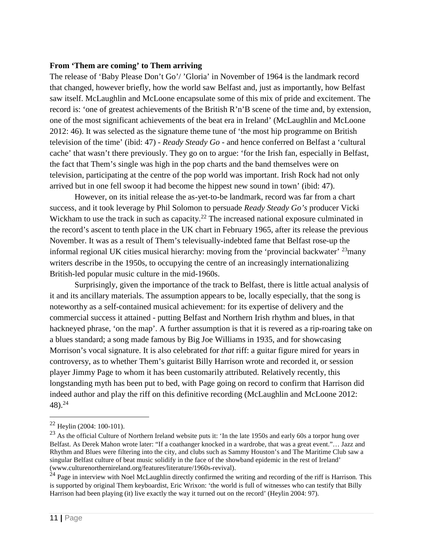#### **From 'Them are coming' to Them arriving**

The release of 'Baby Please Don't Go'/ 'Gloria' in November of 1964 is the landmark record that changed, however briefly, how the world saw Belfast and, just as importantly, how Belfast saw itself. McLaughlin and McLoone encapsulate some of this mix of pride and excitement. The record is: 'one of greatest achievements of the British R'n'B scene of the time and, by extension, one of the most significant achievements of the beat era in Ireland' (McLaughlin and McLoone 2012: 46). It was selected as the signature theme tune of 'the most hip programme on British television of the time' (ibid: 47) - *Ready Steady Go* - and hence conferred on Belfast a 'cultural cache' that wasn't there previously. They go on to argue: 'for the Irish fan, especially in Belfast, the fact that Them's single was high in the pop charts and the band themselves were on television, participating at the centre of the pop world was important. Irish Rock had not only arrived but in one fell swoop it had become the hippest new sound in town' (ibid: 47).

However, on its initial release the as-yet-to-be landmark, record was far from a chart success, and it took leverage by Phil Solomon to persuade *Ready Steady Go's* producer Vicki Wickham to use the track in such as capacity.<sup>22</sup> The increased national exposure culminated in the record's ascent to tenth place in the UK chart in February 1965, after its release the previous November. It was as a result of Them's televisually-indebted fame that Belfast rose-up the informal regional UK cities musical hierarchy: moving from the 'provincial backwater' 23many writers describe in the 1950s, to occupying the centre of an increasingly internationalizing British-led popular music culture in the mid-1960s.

Surprisingly, given the importance of the track to Belfast, there is little actual analysis of it and its ancillary materials. The assumption appears to be, locally especially, that the song is noteworthy as a self-contained musical achievement: for its expertise of delivery and the commercial success it attained - putting Belfast and Northern Irish rhythm and blues, in that hackneyed phrase, 'on the map'. A further assumption is that it is revered as a rip-roaring take on a blues standard; a song made famous by Big Joe Williams in 1935, and for showcasing Morrison's vocal signature. It is also celebrated for *that* riff: a guitar figure mired for years in controversy, as to whether Them's guitarist Billy Harrison wrote and recorded it, or session player Jimmy Page to whom it has been customarily attributed. Relatively recently, this longstanding myth has been put to bed, with Page going on record to confirm that Harrison did indeed author and play the riff on this definitive recording (McLaughlin and McLoone 2012: 48).24

 <sup>22</sup> Heylin (2004: 100-101).

<sup>&</sup>lt;sup>23</sup> As the official Culture of Northern Ireland website puts it: 'In the late 1950s and early 60s a torpor hung over Belfast. As Derek Mahon wrote later: "If a coathanger knocked in a wardrobe, that was a great event."… Jazz and Rhythm and Blues were filtering into the city, and clubs such as Sammy Houston's and The Maritime Club saw a singular Belfast culture of beat music solidify in the face of the showband epidemic in the rest of Ireland' (www.culturenorthernireland.org/features/literature/1960s-revival).

 $24$  Page in interview with Noel McLaughlin directly confirmed the writing and recording of the riff is Harrison. This is supported by original Them keyboardist, Eric Wrixon: 'the world is full of witnesses who can testify that Billy Harrison had been playing (it) live exactly the way it turned out on the record' (Heylin 2004: 97).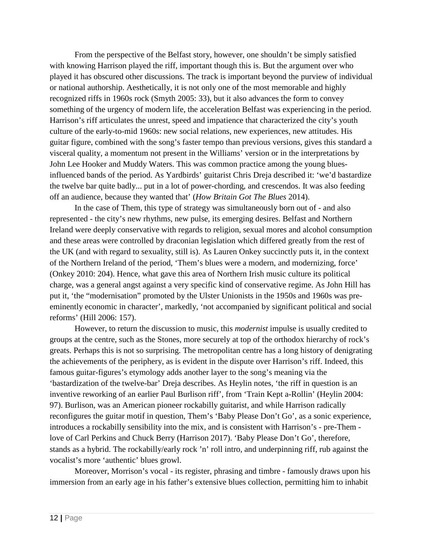From the perspective of the Belfast story, however, one shouldn't be simply satisfied with knowing Harrison played the riff, important though this is. But the argument over who played it has obscured other discussions. The track is important beyond the purview of individual or national authorship. Aesthetically, it is not only one of the most memorable and highly recognized riffs in 1960s rock (Smyth 2005: 33), but it also advances the form to convey something of the urgency of modern life, the acceleration Belfast was experiencing in the period. Harrison's riff articulates the unrest, speed and impatience that characterized the city's youth culture of the early-to-mid 1960s: new social relations, new experiences, new attitudes. His guitar figure, combined with the song's faster tempo than previous versions, gives this standard a visceral quality, a momentum not present in the Williams' version or in the interpretations by John Lee Hooker and Muddy Waters. This was common practice among the young bluesinfluenced bands of the period. As Yardbirds' guitarist Chris Dreja described it: 'we'd bastardize the twelve bar quite badly... put in a lot of power-chording, and crescendos. It was also feeding off an audience, because they wanted that' (*How Britain Got The Blues* 2014).

In the case of Them, this type of strategy was simultaneously born out of - and also represented - the city's new rhythms, new pulse, its emerging desires. Belfast and Northern Ireland were deeply conservative with regards to religion, sexual mores and alcohol consumption and these areas were controlled by draconian legislation which differed greatly from the rest of the UK (and with regard to sexuality, still is). As Lauren Onkey succinctly puts it, in the context of the Northern Ireland of the period, 'Them's blues were a modern, and modernizing, force' (Onkey 2010: 204). Hence, what gave this area of Northern Irish music culture its political charge, was a general angst against a very specific kind of conservative regime. As John Hill has put it, 'the "modernisation" promoted by the Ulster Unionists in the 1950s and 1960s was preeminently economic in character', markedly, 'not accompanied by significant political and social reforms' (Hill 2006: 157).

However, to return the discussion to music, this *modernist* impulse is usually credited to groups at the centre, such as the Stones, more securely at top of the orthodox hierarchy of rock's greats. Perhaps this is not so surprising. The metropolitan centre has a long history of denigrating the achievements of the periphery, as is evident in the dispute over Harrison's riff. Indeed, this famous guitar-figures's etymology adds another layer to the song's meaning via the 'bastardization of the twelve-bar' Dreja describes. As Heylin notes, 'the riff in question is an inventive reworking of an earlier Paul Burlison riff', from 'Train Kept a-Rollin' (Heylin 2004: 97). Burlison, was an American pioneer rockabilly guitarist, and while Harrison radically reconfigures the guitar motif in question, Them's 'Baby Please Don't Go', as a sonic experience, introduces a rockabilly sensibility into the mix, and is consistent with Harrison's - pre-Them love of Carl Perkins and Chuck Berry (Harrison 2017). 'Baby Please Don't Go', therefore, stands as a hybrid. The rockabilly/early rock 'n' roll intro, and underpinning riff, rub against the vocalist's more 'authentic' blues growl.

Moreover, Morrison's vocal - its register, phrasing and timbre - famously draws upon his immersion from an early age in his father's extensive blues collection, permitting him to inhabit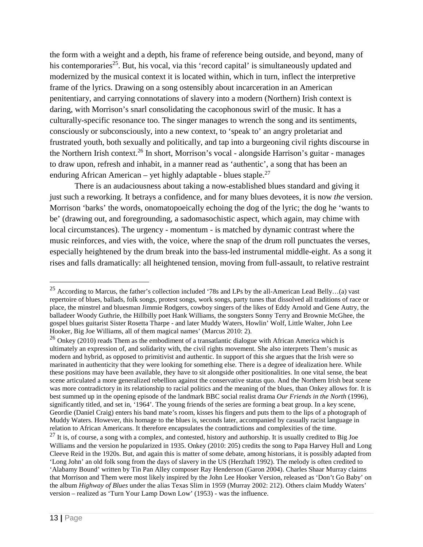the form with a weight and a depth, his frame of reference being outside, and beyond, many of his contemporaries<sup>25</sup>. But, his vocal, via this 'record capital' is simultaneously updated and modernized by the musical context it is located within, which in turn, inflect the interpretive frame of the lyrics. Drawing on a song ostensibly about incarceration in an American penitentiary, and carrying connotations of slavery into a modern (Northern) Irish context is daring, with Morrison's snarl consolidating the cacophonous swirl of the music. It has a culturally-specific resonance too. The singer manages to wrench the song and its sentiments, consciously or subconsciously, into a new context, to 'speak to' an angry proletariat and frustrated youth, both sexually and politically, and tap into a burgeoning civil rights discourse in the Northern Irish context.26 In short, Morrison's vocal - alongside Harrison's guitar - manages to draw upon, refresh and inhabit, in a manner read as 'authentic', a song that has been an enduring African American – yet highly adaptable - blues staple.<sup>27</sup>

There is an audaciousness about taking a now-established blues standard and giving it just such a reworking. It betrays a confidence, and for many blues devotees, it is now *the* version. Morrison 'barks' the words, onomatopoeically echoing the dog of the lyric; the dog he 'wants to be' (drawing out, and foregrounding, a sadomasochistic aspect, which again, may chime with local circumstances). The urgency - momentum - is matched by dynamic contrast where the music reinforces, and vies with, the voice, where the snap of the drum roll punctuates the verses, especially heightened by the drum break into the bass-led instrumental middle-eight. As a song it rises and falls dramatically: all heightened tension, moving from full-assault, to relative restraint

<sup>&</sup>lt;sup>25</sup> According to Marcus, the father's collection included '78s and LPs by the all-American Lead Belly...(a) vast repertoire of blues, ballads, folk songs, protest songs, work songs, party tunes that dissolved all traditions of race or place, the minstrel and bluesman Jimmie Rodgers, cowboy singers of the likes of Eddy Arnold and Gene Autry, the balladeer Woody Guthrie, the Hillbilly poet Hank Williams, the songsters Sonny Terry and Brownie McGhee, the gospel blues guitarist Sister Rosetta Tharpe - and later Muddy Waters, Howlin' Wolf, Little Walter, John Lee Hooker, Big Joe Williams, all of them magical names' (Marcus 2010: 2).

 $^{26}$  Onkey (2010) reads Them as the embodiment of a transatlantic dialogue with African America which is ultimately an expression of, and solidarity with, the civil rights movement. She also interprets Them's music as modern and hybrid, as opposed to primitivist and authentic. In support of this she argues that the Irish were so marinated in authenticity that they were looking for something else. There is a degree of idealization here. While these positions may have been available, they have to sit alongside other positionalities. In one vital sense, the beat scene articulated a more generalized rebellion against the conservative status quo. And the Northern Irish beat scene was more contradictory in its relationship to racial politics and the meaning of the blues, than Onkey allows for. It is best summed up in the opening episode of the landmark BBC social realist drama *Our Friends in the North* (1996), significantly titled, and set in, '1964'. The young friends of the series are forming a beat group. In a key scene, Geordie (Daniel Craig) enters his band mate's room, kisses his fingers and puts them to the lips of a photograph of Muddy Waters. However, this homage to the blues is, seconds later, accompanied by casually racist language in relation to African Americans. It therefore encapsulates the contradictions and complexities of the time.  $27$  It is, of course, a song with a complex, and contested, history and authorship. It is usually credited to Big

Williams and the version he popularized in 1935. Onkey (2010: 205) credits the song to Papa Harvey Hull and Long Cleeve Reid in the 1920s. But, and again this is matter of some debate, among historians, it is possibly adapted from 'Long John' an old folk song from the days of slavery in the US (Herzhaft 1992). The melody is often credited to 'Alabamy Bound' written by Tin Pan Alley composer Ray Henderson (Garon 2004). Charles Shaar Murray claims that Morrison and Them were most likely inspired by the John Lee Hooker Version, released as 'Don't Go Baby' on the album *Highway of Blues* under the alias Texas Slim in 1959 (Murray 2002: 212). Others claim Muddy Waters' version – realized as 'Turn Your Lamp Down Low' (1953) - was the influence.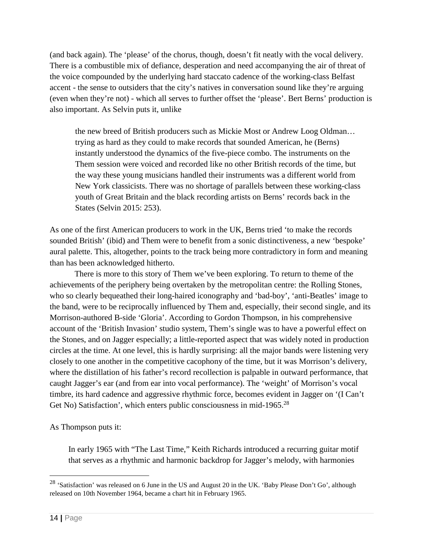(and back again). The 'please' of the chorus, though, doesn't fit neatly with the vocal delivery. There is a combustible mix of defiance, desperation and need accompanying the air of threat of the voice compounded by the underlying hard staccato cadence of the working-class Belfast accent - the sense to outsiders that the city's natives in conversation sound like they're arguing (even when they're not) - which all serves to further offset the 'please'. Bert Berns' production is also important. As Selvin puts it, unlike

the new breed of British producers such as Mickie Most or Andrew Loog Oldman… trying as hard as they could to make records that sounded American, he (Berns) instantly understood the dynamics of the five-piece combo. The instruments on the Them session were voiced and recorded like no other British records of the time, but the way these young musicians handled their instruments was a different world from New York classicists. There was no shortage of parallels between these working-class youth of Great Britain and the black recording artists on Berns' records back in the States (Selvin 2015: 253).

As one of the first American producers to work in the UK, Berns tried 'to make the records sounded British' (ibid) and Them were to benefit from a sonic distinctiveness, a new 'bespoke' aural palette. This, altogether, points to the track being more contradictory in form and meaning than has been acknowledged hitherto.

There is more to this story of Them we've been exploring. To return to theme of the achievements of the periphery being overtaken by the metropolitan centre: the Rolling Stones, who so clearly bequeathed their long-haired iconography and 'bad-boy', 'anti-Beatles' image to the band, were to be reciprocally influenced by Them and, especially, their second single, and its Morrison-authored B-side 'Gloria'. According to Gordon Thompson, in his comprehensive account of the 'British Invasion' studio system, Them's single was to have a powerful effect on the Stones, and on Jagger especially; a little-reported aspect that was widely noted in production circles at the time. At one level, this is hardly surprising: all the major bands were listening very closely to one another in the competitive cacophony of the time, but it was Morrison's delivery, where the distillation of his father's record recollection is palpable in outward performance, that caught Jagger's ear (and from ear into vocal performance). The 'weight' of Morrison's vocal timbre, its hard cadence and aggressive rhythmic force, becomes evident in Jagger on '(I Can't Get No) Satisfaction', which enters public consciousness in mid-1965.<sup>28</sup>

As Thompson puts it:

In early 1965 with "The Last Time," Keith Richards introduced a recurring guitar motif that serves as a rhythmic and harmonic backdrop for Jagger's melody, with harmonies

 <sup>28</sup> 'Satisfaction' was released on <sup>6</sup> June in the US and August <sup>20</sup> in the UK. 'Baby Please Don't Go', although released on 10th November 1964, became a chart hit in February 1965.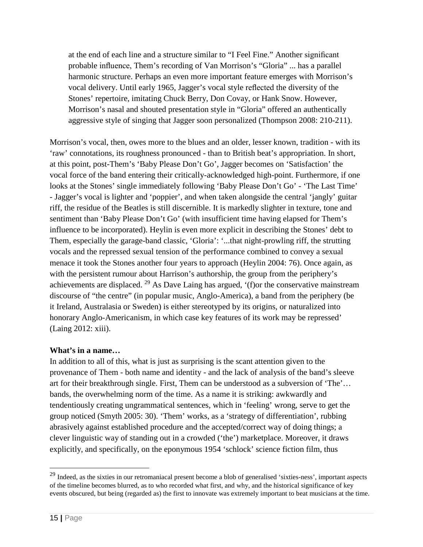at the end of each line and a structure similar to "I Feel Fine." Another significant probable influence, Them's recording of Van Morrison's "Gloria" ... has a parallel harmonic structure. Perhaps an even more important feature emerges with Morrison's vocal delivery. Until early 1965, Jagger's vocal style reflected the diversity of the Stones' repertoire, imitating Chuck Berry, Don Covay, or Hank Snow. However, Morrison's nasal and shouted presentation style in "Gloria" offered an authentically aggressive style of singing that Jagger soon personalized (Thompson 2008: 210-211).

Morrison's vocal, then, owes more to the blues and an older, lesser known, tradition - with its 'raw' connotations, its roughness pronounced - than to British beat's appropriation. In short, at this point, post-Them's 'Baby Please Don't Go', Jagger becomes on 'Satisfaction' the vocal force of the band entering their critically-acknowledged high-point. Furthermore, if one looks at the Stones' single immediately following 'Baby Please Don't Go' - 'The Last Time' - Jagger's vocal is lighter and 'poppier', and when taken alongside the central 'jangly' guitar riff, the residue of the Beatles is still discernible. It is markedly slighter in texture, tone and sentiment than 'Baby Please Don't Go' (with insufficient time having elapsed for Them's influence to be incorporated). Heylin is even more explicit in describing the Stones' debt to Them, especially the garage-band classic, 'Gloria': '...that night-prowling riff, the strutting vocals and the repressed sexual tension of the performance combined to convey a sexual menace it took the Stones another four years to approach (Heylin 2004: 76). Once again, as with the persistent rumour about Harrison's authorship, the group from the periphery's achievements are displaced. <sup>29</sup> As Dave Laing has argued, '(f)or the conservative mainstream discourse of "the centre" (in popular music, Anglo-America), a band from the periphery (be it Ireland, Australasia or Sweden) is either stereotyped by its origins, or naturalized into honorary Anglo-Americanism, in which case key features of its work may be repressed' (Laing 2012: xiii).

# **What's in a name…**

In addition to all of this, what is just as surprising is the scant attention given to the provenance of Them - both name and identity - and the lack of analysis of the band's sleeve art for their breakthrough single. First, Them can be understood as a subversion of 'The'… bands, the overwhelming norm of the time. As a name it is striking: awkwardly and tendentiously creating ungrammatical sentences, which in 'feeling' wrong, serve to get the group noticed (Smyth 2005: 30). 'Them' works, as a 'strategy of differentiation', rubbing abrasively against established procedure and the accepted/correct way of doing things; a clever linguistic way of standing out in a crowded ('the') marketplace. Moreover, it draws explicitly, and specifically, on the eponymous 1954 'schlock' science fiction film, thus

<sup>&</sup>lt;sup>29</sup> Indeed, as the sixties in our retromaniacal present become a blob of generalised 'sixties-ness', important aspects of the timeline becomes blurred, as to who recorded what first, and why, and the historical significance of key events obscured, but being (regarded as) the first to innovate was extremely important to beat musicians at the time.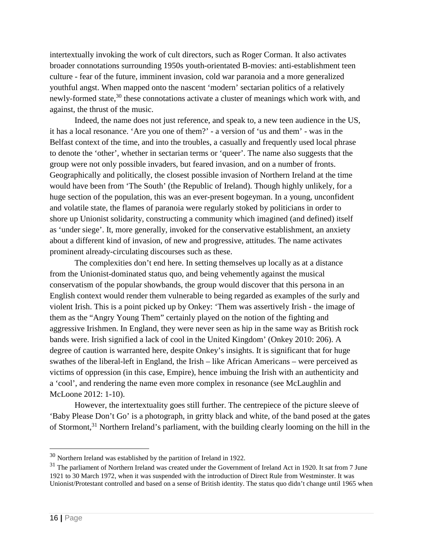intertextually invoking the work of cult directors, such as Roger Corman. It also activates broader connotations surrounding 1950s youth-orientated B-movies: anti-establishment teen culture - fear of the future, imminent invasion, cold war paranoia and a more generalized youthful angst. When mapped onto the nascent 'modern' sectarian politics of a relatively newly-formed state, $30$  these connotations activate a cluster of meanings which work with, and against, the thrust of the music.

Indeed, the name does not just reference, and speak to, a new teen audience in the US, it has a local resonance. 'Are you one of them?' - a version of 'us and them' - was in the Belfast context of the time, and into the troubles, a casually and frequently used local phrase to denote the 'other', whether in sectarian terms or 'queer'. The name also suggests that the group were not only possible invaders, but feared invasion, and on a number of fronts. Geographically and politically, the closest possible invasion of Northern Ireland at the time would have been from 'The South' (the Republic of Ireland). Though highly unlikely, for a huge section of the population, this was an ever-present bogeyman. In a young, unconfident and volatile state, the flames of paranoia were regularly stoked by politicians in order to shore up Unionist solidarity, constructing a community which imagined (and defined) itself as 'under siege'. It, more generally, invoked for the conservative establishment, an anxiety about a different kind of invasion, of new and progressive, attitudes. The name activates prominent already-circulating discourses such as these.

The complexities don't end here. In setting themselves up locally as at a distance from the Unionist-dominated status quo, and being vehemently against the musical conservatism of the popular showbands, the group would discover that this persona in an English context would render them vulnerable to being regarded as examples of the surly and violent Irish. This is a point picked up by Onkey: 'Them was assertively Irish - the image of them as the "Angry Young Them" certainly played on the notion of the fighting and aggressive Irishmen. In England, they were never seen as hip in the same way as British rock bands were. Irish signified a lack of cool in the United Kingdom' (Onkey 2010: 206). A degree of caution is warranted here, despite Onkey's insights. It is significant that for huge swathes of the liberal-left in England, the Irish – like African Americans – were perceived as victims of oppression (in this case, Empire), hence imbuing the Irish with an authenticity and a 'cool', and rendering the name even more complex in resonance (see McLaughlin and McLoone 2012: 1-10).

However, the intertextuality goes still further. The centrepiece of the picture sleeve of 'Baby Please Don't Go' is a photograph, in gritty black and white, of the band posed at the gates of Stormont,<sup>31</sup> Northern Ireland's parliament, with the building clearly looming on the hill in the

<sup>&</sup>lt;sup>30</sup> Northern Ireland was established by the partition of Ireland in 1922.

<sup>&</sup>lt;sup>31</sup> The parliament of Northern Ireland was created under the Government of Ireland Act in 1920. It sat from 7 June 1921 to 30 March 1972, when it was suspended with the introduction of Direct Rule from Westminster. It was Unionist/Protestant controlled and based on a sense of British identity. The status quo didn't change until 1965 when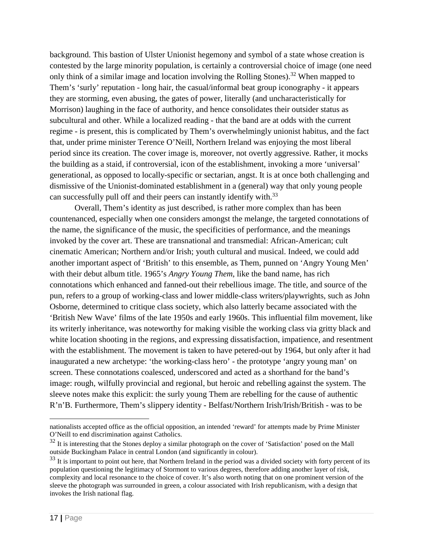background. This bastion of Ulster Unionist hegemony and symbol of a state whose creation is contested by the large minority population, is certainly a controversial choice of image (one need only think of a similar image and location involving the Rolling Stones).<sup>32</sup> When mapped to Them's 'surly' reputation - long hair, the casual/informal beat group iconography - it appears they are storming, even abusing, the gates of power, literally (and uncharacteristically for Morrison) laughing in the face of authority, and hence consolidates their outsider status as subcultural and other. While a localized reading - that the band are at odds with the current regime - is present, this is complicated by Them's overwhelmingly unionist habitus, and the fact that, under prime minister Terence O'Neill, Northern Ireland was enjoying the most liberal period since its creation. The cover image is, moreover, not overtly aggressive. Rather, it mocks the building as a staid, if controversial, icon of the establishment, invoking a more 'universal' generational, as opposed to locally-specific or sectarian, angst. It is at once both challenging and dismissive of the Unionist-dominated establishment in a (general) way that only young people can successfully pull off and their peers can instantly identify with.<sup>33</sup>

Overall, Them's identity as just described, is rather more complex than has been countenanced, especially when one considers amongst the melange, the targeted connotations of the name, the significance of the music, the specificities of performance, and the meanings invoked by the cover art. These are transnational and transmedial: African-American; cult cinematic American; Northern and/or Irish; youth cultural and musical. Indeed, we could add another important aspect of 'British' to this ensemble, as Them, punned on 'Angry Young Men' with their debut album title. 1965's *Angry Young Them*, like the band name, has rich connotations which enhanced and fanned-out their rebellious image. The title, and source of the pun, refers to a group of working-class and lower middle-class writers/playwrights, such as John Osborne, determined to critique class society, which also latterly became associated with the 'British New Wave' films of the late 1950s and early 1960s. This influential film movement, like its writerly inheritance, was noteworthy for making visible the working class via gritty black and white location shooting in the regions, and expressing dissatisfaction, impatience, and resentment with the establishment. The movement is taken to have petered-out by 1964, but only after it had inaugurated a new archetype: 'the working-class hero' - the prototype 'angry young man' on screen. These connotations coalesced, underscored and acted as a shorthand for the band's image: rough, wilfully provincial and regional, but heroic and rebelling against the system. The sleeve notes make this explicit: the surly young Them are rebelling for the cause of authentic R'n'B. Furthermore, Them's slippery identity - Belfast/Northern Irish/Irish/British - was to be

 $\overline{a}$ 

nationalists accepted office as the official opposition, an intended 'reward' for attempts made by Prime Minister O'Neill to end discrimination against Catholics.

 $32$  It is interesting that the Stones deploy a similar photograph on the cover of 'Satisfaction' posed on the Mall outside Buckingham Palace in central London (and significantly in colour).

 $33$  It is important to point out here, that Northern Ireland in the period was a divided society with forty percent of its population questioning the legitimacy of Stormont to various degrees, therefore adding another layer of risk, complexity and local resonance to the choice of cover. It's also worth noting that on one prominent version of the sleeve the photograph was surrounded in green, a colour associated with Irish republicanism, with a design that invokes the Irish national flag.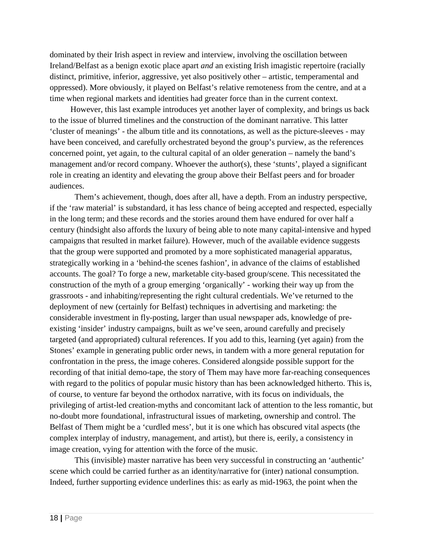dominated by their Irish aspect in review and interview, involving the oscillation between Ireland/Belfast as a benign exotic place apart *and* an existing Irish imagistic repertoire (racially distinct, primitive, inferior, aggressive, yet also positively other – artistic, temperamental and oppressed). More obviously, it played on Belfast's relative remoteness from the centre, and at a time when regional markets and identities had greater force than in the current context.

 However, this last example introduces yet another layer of complexity, and brings us back to the issue of blurred timelines and the construction of the dominant narrative. This latter 'cluster of meanings' - the album title and its connotations, as well as the picture-sleeves - may have been conceived, and carefully orchestrated beyond the group's purview, as the references concerned point, yet again, to the cultural capital of an older generation – namely the band's management and/or record company. Whoever the author(s), these 'stunts', played a significant role in creating an identity and elevating the group above their Belfast peers and for broader audiences.

Them's achievement, though, does after all, have a depth. From an industry perspective, if the 'raw material' is substandard, it has less chance of being accepted and respected, especially in the long term; and these records and the stories around them have endured for over half a century (hindsight also affords the luxury of being able to note many capital-intensive and hyped campaigns that resulted in market failure). However, much of the available evidence suggests that the group were supported and promoted by a more sophisticated managerial apparatus, strategically working in a 'behind-the scenes fashion', in advance of the claims of established accounts. The goal? To forge a new, marketable city-based group/scene. This necessitated the construction of the myth of a group emerging 'organically' - working their way up from the grassroots - and inhabiting/representing the right cultural credentials. We've returned to the deployment of new (certainly for Belfast) techniques in advertising and marketing: the considerable investment in fly-posting, larger than usual newspaper ads, knowledge of preexisting 'insider' industry campaigns, built as we've seen, around carefully and precisely targeted (and appropriated) cultural references. If you add to this, learning (yet again) from the Stones' example in generating public order news, in tandem with a more general reputation for confrontation in the press, the image coheres. Considered alongside possible support for the recording of that initial demo-tape, the story of Them may have more far-reaching consequences with regard to the politics of popular music history than has been acknowledged hitherto. This is, of course, to venture far beyond the orthodox narrative, with its focus on individuals, the privileging of artist-led creation-myths and concomitant lack of attention to the less romantic, but no-doubt more foundational, infrastructural issues of marketing, ownership and control. The Belfast of Them might be a 'curdled mess', but it is one which has obscured vital aspects (the complex interplay of industry, management, and artist), but there is, eerily, a consistency in image creation, vying for attention with the force of the music.

This (invisible) master narrative has been very successful in constructing an 'authentic' scene which could be carried further as an identity/narrative for (inter) national consumption. Indeed, further supporting evidence underlines this: as early as mid-1963, the point when the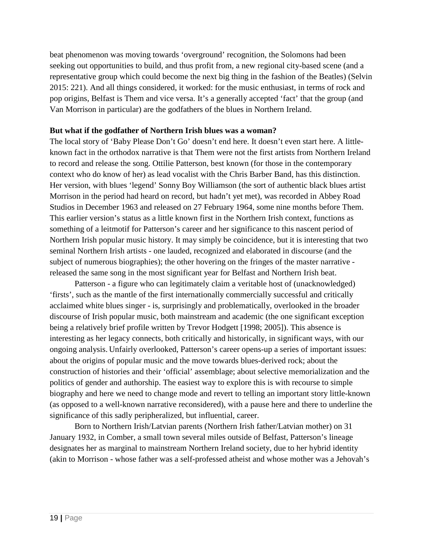beat phenomenon was moving towards 'overground' recognition, the Solomons had been seeking out opportunities to build, and thus profit from, a new regional city-based scene (and a representative group which could become the next big thing in the fashion of the Beatles) (Selvin 2015: 221). And all things considered, it worked: for the music enthusiast, in terms of rock and pop origins, Belfast is Them and vice versa. It's a generally accepted 'fact' that the group (and Van Morrison in particular) are the godfathers of the blues in Northern Ireland.

### **But what if the godfather of Northern Irish blues was a woman?**

The local story of 'Baby Please Don't Go' doesn't end here. It doesn't even start here. A littleknown fact in the orthodox narrative is that Them were not the first artists from Northern Ireland to record and release the song. Ottilie Patterson, best known (for those in the contemporary context who do know of her) as lead vocalist with the Chris Barber Band, has this distinction. Her version, with blues 'legend' Sonny Boy Williamson (the sort of authentic black blues artist Morrison in the period had heard on record, but hadn't yet met), was recorded in Abbey Road Studios in December 1963 and released on 27 February 1964, some nine months before Them. This earlier version's status as a little known first in the Northern Irish context, functions as something of a leitmotif for Patterson's career and her significance to this nascent period of Northern Irish popular music history. It may simply be coincidence, but it is interesting that two seminal Northern Irish artists - one lauded, recognized and elaborated in discourse (and the subject of numerous biographies); the other hovering on the fringes of the master narrative released the same song in the most significant year for Belfast and Northern Irish beat.

Patterson - a figure who can legitimately claim a veritable host of (unacknowledged) 'firsts', such as the mantle of the first internationally commercially successful and critically acclaimed white blues singer - is, surprisingly and problematically, overlooked in the broader discourse of Irish popular music, both mainstream and academic (the one significant exception being a relatively brief profile written by Trevor Hodgett [1998; 2005]). This absence is interesting as her legacy connects, both critically and historically, in significant ways, with our ongoing analysis. Unfairly overlooked, Patterson's career opens-up a series of important issues: about the origins of popular music and the move towards blues-derived rock; about the construction of histories and their 'official' assemblage; about selective memorialization and the politics of gender and authorship. The easiest way to explore this is with recourse to simple biography and here we need to change mode and revert to telling an important story little-known (as opposed to a well-known narrative reconsidered), with a pause here and there to underline the significance of this sadly peripheralized, but influential, career.

Born to Northern Irish/Latvian parents (Northern Irish father/Latvian mother) on 31 January 1932, in Comber, a small town several miles outside of Belfast, Patterson's lineage designates her as marginal to mainstream Northern Ireland society, due to her hybrid identity (akin to Morrison - whose father was a self-professed atheist and whose mother was a Jehovah's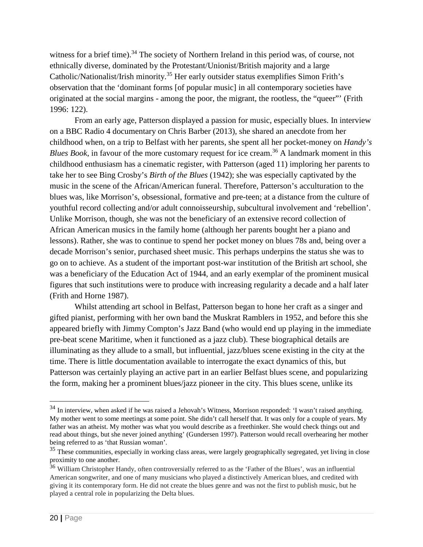witness for a brief time).<sup>34</sup> The society of Northern Ireland in this period was, of course, not ethnically diverse, dominated by the Protestant/Unionist/British majority and a large Catholic/Nationalist/Irish minority.<sup>35</sup> Her early outsider status exemplifies Simon Frith's observation that the 'dominant forms [of popular music] in all contemporary societies have originated at the social margins - among the poor, the migrant, the rootless, the "queer"' (Frith 1996: 122).

From an early age, Patterson displayed a passion for music, especially blues. In interview on a BBC Radio 4 documentary on Chris Barber (2013), she shared an anecdote from her childhood when, on a trip to Belfast with her parents, she spent all her pocket-money on *Handy's Blues Book*, in favour of the more customary request for ice cream.<sup>36</sup> A landmark moment in this childhood enthusiasm has a cinematic register, with Patterson (aged 11) imploring her parents to take her to see Bing Crosby's *Birth of the Blues* (1942); she was especially captivated by the music in the scene of the African/American funeral. Therefore, Patterson's acculturation to the blues was, like Morrison's, obsessional, formative and pre-teen; at a distance from the culture of youthful record collecting and/or adult connoisseurship, subcultural involvement and 'rebellion'. Unlike Morrison, though, she was not the beneficiary of an extensive record collection of African American musics in the family home (although her parents bought her a piano and lessons). Rather, she was to continue to spend her pocket money on blues 78s and, being over a decade Morrison's senior, purchased sheet music. This perhaps underpins the status she was to go on to achieve. As a student of the important post-war institution of the British art school, she was a beneficiary of the Education Act of 1944, and an early exemplar of the prominent musical figures that such institutions were to produce with increasing regularity a decade and a half later (Frith and Horne 1987).

Whilst attending art school in Belfast, Patterson began to hone her craft as a singer and gifted pianist, performing with her own band the Muskrat Ramblers in 1952, and before this she appeared briefly with Jimmy Compton's Jazz Band (who would end up playing in the immediate pre-beat scene Maritime, when it functioned as a jazz club). These biographical details are illuminating as they allude to a small, but influential, jazz/blues scene existing in the city at the time. There is little documentation available to interrogate the exact dynamics of this, but Patterson was certainly playing an active part in an earlier Belfast blues scene, and popularizing the form, making her a prominent blues/jazz pioneer in the city. This blues scene, unlike its

 $34$  In interview, when asked if he was raised a Jehovah's Witness, Morrison responded: 'I wasn't raised anything. My mother went to some meetings at some point. She didn't call herself that. It was only for a couple of years. My father was an atheist. My mother was what you would describe as a freethinker. She would check things out and read about things, but she never joined anything' (Gundersen 1997). Patterson would recall overhearing her mother being referred to as 'that Russian woman'.

<sup>&</sup>lt;sup>35</sup> These communities, especially in working class areas, were largely geographically segregated, yet living in close proximity to one another.

<sup>&</sup>lt;sup>36</sup> William Christopher Handy, often controversially referred to as the 'Father of the Blues', was an influential American songwriter, and one of many musicians who played a distinctively American blues, and credited with giving it its contemporary form. He did not create the blues genre and was not the first to publish music, but he played a central role in popularizing the Delta blues.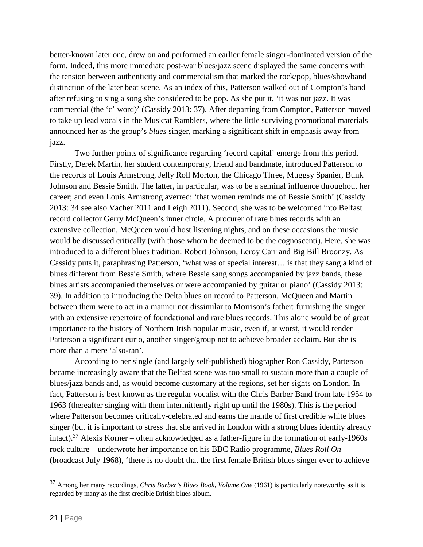better-known later one, drew on and performed an earlier female singer-dominated version of the form. Indeed, this more immediate post-war blues/jazz scene displayed the same concerns with the tension between authenticity and commercialism that marked the rock/pop, blues/showband distinction of the later beat scene. As an index of this, Patterson walked out of Compton's band after refusing to sing a song she considered to be pop. As she put it, 'it was not jazz. It was commercial (the 'c' word)' (Cassidy 2013: 37). After departing from Compton, Patterson moved to take up lead vocals in the Muskrat Ramblers, where the little surviving promotional materials announced her as the group's *blues* singer, marking a significant shift in emphasis away from jazz.

Two further points of significance regarding 'record capital' emerge from this period. Firstly, Derek Martin, her student contemporary, friend and bandmate, introduced Patterson to the records of Louis Armstrong, Jelly Roll Morton, the Chicago Three, Muggsy Spanier, Bunk Johnson and Bessie Smith. The latter, in particular, was to be a seminal influence throughout her career; and even Louis Armstrong averred: 'that women reminds me of Bessie Smith' (Cassidy 2013: 34 see also Vacher 2011 and Leigh 2011). Second, she was to be welcomed into Belfast record collector Gerry McQueen's inner circle. A procurer of rare blues records with an extensive collection, McQueen would host listening nights, and on these occasions the music would be discussed critically (with those whom he deemed to be the cognoscenti). Here, she was introduced to a different blues tradition: Robert Johnson, Leroy Carr and Big Bill Broonzy. As Cassidy puts it, paraphrasing Patterson, 'what was of special interest… is that they sang a kind of blues different from Bessie Smith, where Bessie sang songs accompanied by jazz bands, these blues artists accompanied themselves or were accompanied by guitar or piano' (Cassidy 2013: 39). In addition to introducing the Delta blues on record to Patterson, McQueen and Martin between them were to act in a manner not dissimilar to Morrison's father: furnishing the singer with an extensive repertoire of foundational and rare blues records. This alone would be of great importance to the history of Northern Irish popular music, even if, at worst, it would render Patterson a significant curio, another singer/group not to achieve broader acclaim. But she is more than a mere 'also-ran'.

According to her single (and largely self-published) biographer Ron Cassidy, Patterson became increasingly aware that the Belfast scene was too small to sustain more than a couple of blues/jazz bands and, as would become customary at the regions, set her sights on London. In fact, Patterson is best known as the regular vocalist with the Chris Barber Band from late 1954 to 1963 (thereafter singing with them intermittently right up until the 1980s). This is the period where Patterson becomes critically-celebrated and earns the mantle of first credible white blues singer (but it is important to stress that she arrived in London with a strong blues identity already intact).<sup>37</sup> Alexis Korner – often acknowledged as a father-figure in the formation of early-1960s rock culture – underwrote her importance on his BBC Radio programme, *Blues Roll On* (broadcast July 1968), 'there is no doubt that the first female British blues singer ever to achieve

 <sup>37</sup> Among her many recordings, *Chris Barber's Blues Book, Volume One* (1961) is particularly noteworthy as it is regarded by many as the first credible British blues album.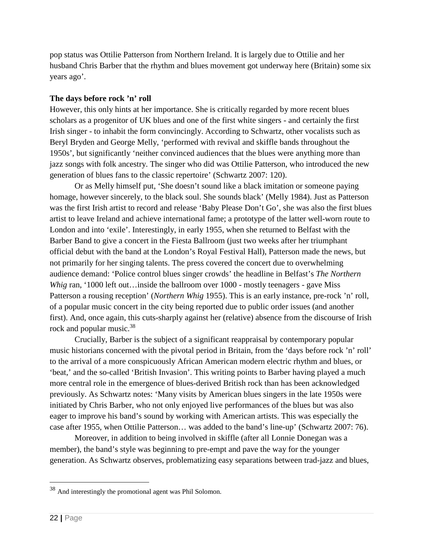pop status was Ottilie Patterson from Northern Ireland. It is largely due to Ottilie and her husband Chris Barber that the rhythm and blues movement got underway here (Britain) some six years ago'.

#### **The days before rock 'n' roll**

However, this only hints at her importance. She is critically regarded by more recent blues scholars as a progenitor of UK blues and one of the first white singers - and certainly the first Irish singer - to inhabit the form convincingly. According to Schwartz, other vocalists such as Beryl Bryden and George Melly, 'performed with revival and skiffle bands throughout the 1950s', but significantly 'neither convinced audiences that the blues were anything more than jazz songs with folk ancestry. The singer who did was Ottilie Patterson, who introduced the new generation of blues fans to the classic repertoire' (Schwartz 2007: 120).

Or as Melly himself put, 'She doesn't sound like a black imitation or someone paying homage, however sincerely, to the black soul. She sounds black' (Melly 1984). Just as Patterson was the first Irish artist to record and release 'Baby Please Don't Go', she was also the first blues artist to leave Ireland and achieve international fame; a prototype of the latter well-worn route to London and into 'exile'. Interestingly, in early 1955, when she returned to Belfast with the Barber Band to give a concert in the Fiesta Ballroom (just two weeks after her triumphant official debut with the band at the London's Royal Festival Hall), Patterson made the news, but not primarily for her singing talents. The press covered the concert due to overwhelming audience demand: 'Police control blues singer crowds' the headline in Belfast's *The Northern Whig* ran, '1000 left out...inside the ballroom over 1000 - mostly teenagers - gave Miss Patterson a rousing reception' (*Northern Whig* 1955). This is an early instance, pre-rock 'n' roll, of a popular music concert in the city being reported due to public order issues (and another first). And, once again, this cuts-sharply against her (relative) absence from the discourse of Irish rock and popular music.<sup>38</sup>

Crucially, Barber is the subject of a significant reappraisal by contemporary popular music historians concerned with the pivotal period in Britain, from the 'days before rock 'n' roll' to the arrival of a more conspicuously African American modern electric rhythm and blues, or 'beat,' and the so-called 'British Invasion'. This writing points to Barber having played a much more central role in the emergence of blues-derived British rock than has been acknowledged previously. As Schwartz notes: 'Many visits by American blues singers in the late 1950s were initiated by Chris Barber, who not only enjoyed live performances of the blues but was also eager to improve his band's sound by working with American artists. This was especially the case after 1955, when Ottilie Patterson… was added to the band's line-up' (Schwartz 2007: 76).

Moreover, in addition to being involved in skiffle (after all Lonnie Donegan was a member), the band's style was beginning to pre-empt and pave the way for the younger generation. As Schwartz observes, problematizing easy separations between trad-jazz and blues,

 <sup>38</sup> And interestingly the promotional agent was Phil Solomon.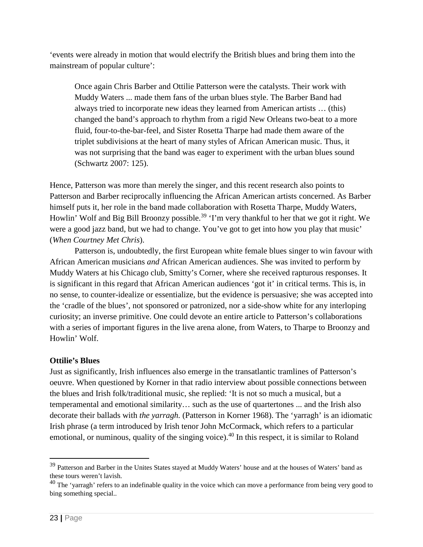'events were already in motion that would electrify the British blues and bring them into the mainstream of popular culture':

Once again Chris Barber and Ottilie Patterson were the catalysts. Their work with Muddy Waters ... made them fans of the urban blues style. The Barber Band had always tried to incorporate new ideas they learned from American artists … (this) changed the band's approach to rhythm from a rigid New Orleans two-beat to a more fluid, four-to-the-bar-feel, and Sister Rosetta Tharpe had made them aware of the triplet subdivisions at the heart of many styles of African American music. Thus, it was not surprising that the band was eager to experiment with the urban blues sound (Schwartz 2007: 125).

Hence, Patterson was more than merely the singer, and this recent research also points to Patterson and Barber reciprocally influencing the African American artists concerned. As Barber himself puts it, her role in the band made collaboration with Rosetta Tharpe, Muddy Waters, Howlin' Wolf and Big Bill Broonzy possible.<sup>39</sup> 'I'm very thankful to her that we got it right. We were a good jazz band, but we had to change. You've got to get into how you play that music' (*When Courtney Met Chris*).

Patterson is, undoubtedly, the first European white female blues singer to win favour with African American musicians *and* African American audiences. She was invited to perform by Muddy Waters at his Chicago club, Smitty's Corner, where she received rapturous responses. It is significant in this regard that African American audiences 'got it' in critical terms. This is, in no sense, to counter-idealize or essentialize, but the evidence is persuasive; she was accepted into the 'cradle of the blues', not sponsored or patronized, nor a side-show white for any interloping curiosity; an inverse primitive. One could devote an entire article to Patterson's collaborations with a series of important figures in the live arena alone, from Waters, to Tharpe to Broonzy and Howlin' Wolf.

# **Ottilie's Blues**

Just as significantly, Irish influences also emerge in the transatlantic tramlines of Patterson's oeuvre. When questioned by Korner in that radio interview about possible connections between the blues and Irish folk/traditional music, she replied: 'It is not so much a musical, but a temperamental and emotional similarity… such as the use of quartertones ... and the Irish also decorate their ballads with *the yarragh.* (Patterson in Korner 1968). The 'yarragh' is an idiomatic Irish phrase (a term introduced by Irish tenor John McCormack, which refers to a particular emotional, or numinous, quality of the singing voice).<sup>40</sup> In this respect, it is similar to Roland

<sup>&</sup>lt;sup>39</sup> Patterson and Barber in the Unites States stayed at Muddy Waters' house and at the houses of Waters' band as these tours weren't lavish.

 $40$  The 'yarragh' refers to an indefinable quality in the voice which can move a performance from being very good to bing something special..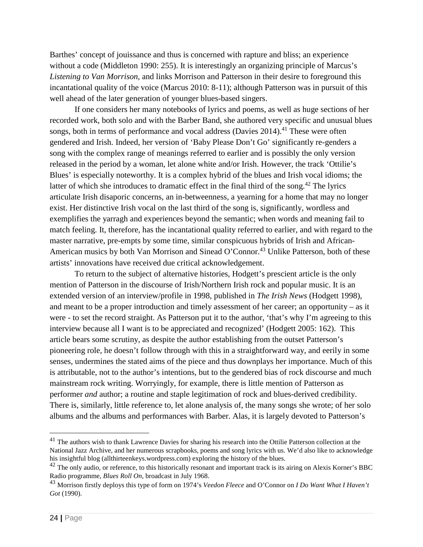Barthes' concept of jouissance and thus is concerned with rapture and bliss; an experience without a code (Middleton 1990: 255). It is interestingly an organizing principle of Marcus's *Listening to Van Morrison,* and links Morrison and Patterson in their desire to foreground this incantational quality of the voice (Marcus 2010: 8-11); although Patterson was in pursuit of this well ahead of the later generation of younger blues-based singers.

If one considers her many notebooks of lyrics and poems, as well as huge sections of her recorded work, both solo and with the Barber Band, she authored very specific and unusual blues songs, both in terms of performance and vocal address (Davies  $2014$ ).<sup>41</sup> These were often gendered and Irish. Indeed, her version of 'Baby Please Don't Go' significantly re-genders a song with the complex range of meanings referred to earlier and is possibly the only version released in the period by a woman, let alone white and/or Irish. However, the track 'Ottilie's Blues' is especially noteworthy. It is a complex hybrid of the blues and Irish vocal idioms; the latter of which she introduces to dramatic effect in the final third of the song.<sup>42</sup> The lyrics articulate Irish disaporic concerns, an in-betweenness, a yearning for a home that may no longer exist. Her distinctive Irish vocal on the last third of the song is, significantly, wordless and exemplifies the yarragh and experiences beyond the semantic; when words and meaning fail to match feeling. It, therefore, has the incantational quality referred to earlier, and with regard to the master narrative, pre-empts by some time, similar conspicuous hybrids of Irish and African-American musics by both Van Morrison and Sinead O'Connor.<sup>43</sup> Unlike Patterson, both of these artists' innovations have received due critical acknowledgement.

To return to the subject of alternative histories, Hodgett's prescient article is the only mention of Patterson in the discourse of Irish/Northern Irish rock and popular music. It is an extended version of an interview/profile in 1998, published in *The Irish News* (Hodgett 1998), and meant to be a proper introduction and timely assessment of her career; an opportunity – as it were - to set the record straight. As Patterson put it to the author, 'that's why I'm agreeing to this interview because all I want is to be appreciated and recognized' (Hodgett 2005: 162). This article bears some scrutiny, as despite the author establishing from the outset Patterson's pioneering role, he doesn't follow through with this in a straightforward way, and eerily in some senses, undermines the stated aims of the piece and thus downplays her importance. Much of this is attributable, not to the author's intentions, but to the gendered bias of rock discourse and much mainstream rock writing. Worryingly, for example, there is little mention of Patterson as performer *and* author; a routine and staple legitimation of rock and blues-derived credibility. There is, similarly, little reference to, let alone analysis of, the many songs she wrote; of her solo albums and the albums and performances with Barber. Alas, it is largely devoted to Patterson's

<sup>&</sup>lt;sup>41</sup> The authors wish to thank Lawrence Davies for sharing his research into the Ottilie Patterson collection at the National Jazz Archive, and her numerous scrapbooks, poems and song lyrics with us. We'd also like to acknowledge his insightful blog (allthirteenkeys.wordpress.com) exploring the history of the blues.

 $42$  The only audio, or reference, to this historically resonant and important track is its airing on Alexis Korner's BBC Radio programme, *Blues Roll On*, broadcast in July 1968.

<sup>43</sup> Morrison firstly deploys this type of form on 1974's *Veedon Fleece* and O'Connor on *I Do Want What I Haven't Got* (1990).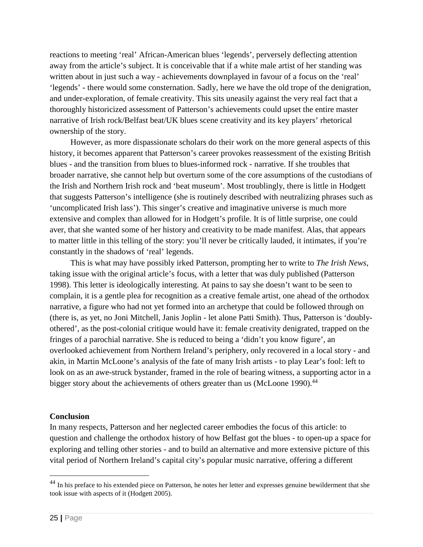reactions to meeting 'real' African-American blues 'legends', perversely deflecting attention away from the article's subject. It is conceivable that if a white male artist of her standing was written about in just such a way - achievements downplayed in favour of a focus on the 'real' 'legends' - there would some consternation. Sadly, here we have the old trope of the denigration, and under-exploration, of female creativity. This sits uneasily against the very real fact that a thoroughly historicized assessment of Patterson's achievements could upset the entire master narrative of Irish rock/Belfast beat/UK blues scene creativity and its key players' rhetorical ownership of the story.

 However, as more dispassionate scholars do their work on the more general aspects of this history, it becomes apparent that Patterson's career provokes reassessment of the existing British blues - and the transition from blues to blues-informed rock - narrative. If she troubles that broader narrative, she cannot help but overturn some of the core assumptions of the custodians of the Irish and Northern Irish rock and 'beat museum'. Most troublingly, there is little in Hodgett that suggests Patterson's intelligence (she is routinely described with neutralizing phrases such as 'uncomplicated Irish lass'). This singer's creative and imaginative universe is much more extensive and complex than allowed for in Hodgett's profile. It is of little surprise, one could aver, that she wanted some of her history and creativity to be made manifest. Alas, that appears to matter little in this telling of the story: you'll never be critically lauded, it intimates, if you're constantly in the shadows of 'real' legends.

 This is what may have possibly irked Patterson, prompting her to write to *The Irish News*, taking issue with the original article's focus, with a letter that was duly published (Patterson 1998). This letter is ideologically interesting. At pains to say she doesn't want to be seen to complain, it is a gentle plea for recognition as a creative female artist, one ahead of the orthodox narrative, a figure who had not yet formed into an archetype that could be followed through on (there is, as yet, no Joni Mitchell, Janis Joplin - let alone Patti Smith). Thus, Patterson is 'doublyothered', as the post-colonial critique would have it: female creativity denigrated, trapped on the fringes of a parochial narrative. She is reduced to being a 'didn't you know figure', an overlooked achievement from Northern Ireland's periphery, only recovered in a local story - and akin, in Martin McLoone's analysis of the fate of many Irish artists - to play Lear's fool: left to look on as an awe-struck bystander, framed in the role of bearing witness, a supporting actor in a bigger story about the achievements of others greater than us (McLoone 1990).<sup>44</sup>

#### **Conclusion**

In many respects, Patterson and her neglected career embodies the focus of this article: to question and challenge the orthodox history of how Belfast got the blues - to open-up a space for exploring and telling other stories - and to build an alternative and more extensive picture of this vital period of Northern Ireland's capital city's popular music narrative, offering a different

<sup>&</sup>lt;sup>44</sup> In his preface to his extended piece on Patterson, he notes her letter and expresses genuine bewilderment that she took issue with aspects of it (Hodgett 2005).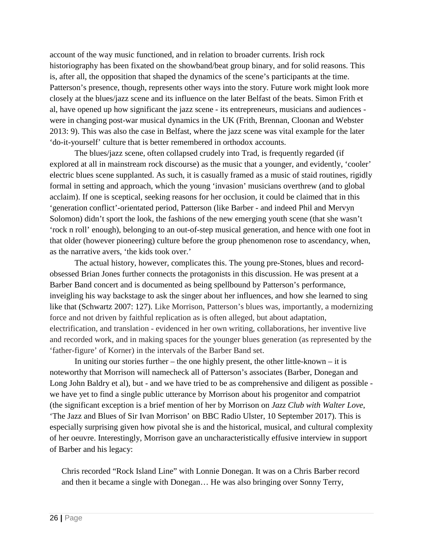account of the way music functioned, and in relation to broader currents. Irish rock historiography has been fixated on the showband/beat group binary, and for solid reasons. This is, after all, the opposition that shaped the dynamics of the scene's participants at the time. Patterson's presence, though, represents other ways into the story. Future work might look more closely at the blues/jazz scene and its influence on the later Belfast of the beats. Simon Frith et al, have opened up how significant the jazz scene - its entrepreneurs, musicians and audiences were in changing post-war musical dynamics in the UK (Frith, Brennan, Cloonan and Webster 2013: 9). This was also the case in Belfast, where the jazz scene was vital example for the later 'do-it-yourself' culture that is better remembered in orthodox accounts.

The blues/jazz scene, often collapsed crudely into Trad, is frequently regarded (if explored at all in mainstream rock discourse) as the music that a younger, and evidently, 'cooler' electric blues scene supplanted. As such, it is casually framed as a music of staid routines, rigidly formal in setting and approach, which the young 'invasion' musicians overthrew (and to global acclaim). If one is sceptical, seeking reasons for her occlusion, it could be claimed that in this 'generation conflict'-orientated period, Patterson (like Barber - and indeed Phil and Mervyn Solomon) didn't sport the look, the fashions of the new emerging youth scene (that she wasn't 'rock n roll' enough), belonging to an out-of-step musical generation, and hence with one foot in that older (however pioneering) culture before the group phenomenon rose to ascendancy, when, as the narrative avers, 'the kids took over.'

The actual history, however, complicates this. The young pre-Stones, blues and recordobsessed Brian Jones further connects the protagonists in this discussion. He was present at a Barber Band concert and is documented as being spellbound by Patterson's performance, inveigling his way backstage to ask the singer about her influences, and how she learned to sing like that (Schwartz 2007: 127). Like Morrison, Patterson's blues was, importantly, a modernizing force and not driven by faithful replication as is often alleged, but about adaptation, electrification, and translation - evidenced in her own writing, collaborations, her inventive live and recorded work, and in making spaces for the younger blues generation (as represented by the 'father-figure' of Korner) in the intervals of the Barber Band set.

In uniting our stories further – the one highly present, the other little-known – it is noteworthy that Morrison will namecheck all of Patterson's associates (Barber, Donegan and Long John Baldry et al), but - and we have tried to be as comprehensive and diligent as possible we have yet to find a single public utterance by Morrison about his progenitor and compatriot (the significant exception is a brief mention of her by Morrison on *Jazz Club with Walter Love*, 'The Jazz and Blues of Sir Ivan Morrison' on BBC Radio Ulster, 10 September 2017). This is especially surprising given how pivotal she is and the historical, musical, and cultural complexity of her oeuvre. Interestingly, Morrison gave an uncharacteristically effusive interview in support of Barber and his legacy:

Chris recorded "Rock Island Line" with Lonnie Donegan. It was on a Chris Barber record and then it became a single with Donegan… He was also bringing over Sonny Terry,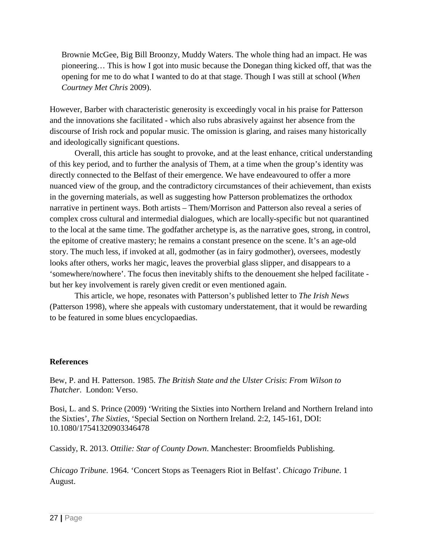Brownie McGee, Big Bill Broonzy, Muddy Waters. The whole thing had an impact. He was pioneering… This is how I got into music because the Donegan thing kicked off, that was the opening for me to do what I wanted to do at that stage. Though I was still at school (*When Courtney Met Chris* 2009).

However, Barber with characteristic generosity is exceedingly vocal in his praise for Patterson and the innovations she facilitated - which also rubs abrasively against her absence from the discourse of Irish rock and popular music. The omission is glaring, and raises many historically and ideologically significant questions.

Overall, this article has sought to provoke, and at the least enhance, critical understanding of this key period, and to further the analysis of Them, at a time when the group's identity was directly connected to the Belfast of their emergence. We have endeavoured to offer a more nuanced view of the group, and the contradictory circumstances of their achievement, than exists in the governing materials, as well as suggesting how Patterson problematizes the orthodox narrative in pertinent ways. Both artists – Them/Morrison and Patterson also reveal a series of complex cross cultural and intermedial dialogues, which are locally-specific but not quarantined to the local at the same time. The godfather archetype is, as the narrative goes, strong, in control, the epitome of creative mastery; he remains a constant presence on the scene. It's an age-old story. The much less, if invoked at all, godmother (as in fairy godmother), oversees, modestly looks after others, works her magic, leaves the proverbial glass slipper, and disappears to a 'somewhere/nowhere'. The focus then inevitably shifts to the denouement she helped facilitate but her key involvement is rarely given credit or even mentioned again.

This article, we hope, resonates with Patterson's published letter to *The Irish News* (Patterson 1998), where she appeals with customary understatement, that it would be rewarding to be featured in some blues encyclopaedias.

#### **References**

Bew, P. and H. Patterson. 1985. *The British State and the Ulster Crisis*: *From Wilson to Thatcher*. London: Verso.

Bosi, L. and S. Prince (2009) 'Writing the Sixties into Northern Ireland and Northern Ireland into the Sixties', *The Sixties*, 'Special Section on Northern Ireland. 2:2, 145-161, DOI: 10.1080/17541320903346478

Cassidy, R. 2013. *Ottilie: Star of County Down*. Manchester: Broomfields Publishing.

*Chicago Tribune*. 1964. 'Concert Stops as Teenagers Riot in Belfast'. *Chicago Tribune*. 1 August.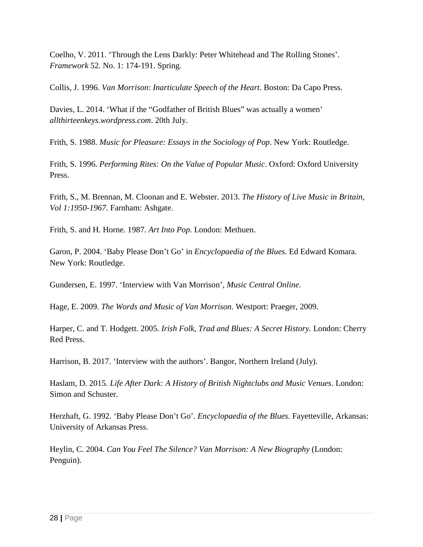Coelho, V. 2011. 'Through the Lens Darkly: Peter Whitehead and The Rolling Stones'. *Framework* 52. No. 1: 174-191. Spring.

Collis, J. 1996. *Van Morrison*: *Inarticulate Speech of the Heart*. Boston: Da Capo Press.

Davies, L. 2014. 'What if the "Godfather of British Blues" was actually a women' *allthirteenkeys.wordpress.com*. 20th July.

Frith, S. 1988. *Music for Pleasure: Essays in the Sociology of Pop*. New York: Routledge.

Frith, S. 1996. *Performing Rites: On the Value of Popular Music*. Oxford: Oxford University Press.

Frith, S., M. Brennan, M. Cloonan and E. Webster. 2013. *The History of Live Music in Britain*, *Vol 1:1950-1967*. Farnham: Ashgate.

Frith, S. and H. Horne. 1987. *Art Into Pop*. London: Methuen.

Garon, P. 2004. 'Baby Please Don't Go' in *Encyclopaedia of the Blues*. Ed Edward Komara. New York: Routledge.

Gundersen, E. 1997. 'Interview with Van Morrison', *Music Central Online*.

Hage, E. 2009. *The Words and Music of Van Morrison.* Westport: Praeger, 2009.

Harper, C. and T. Hodgett. 2005. *Irish Folk, Trad and Blues: A Secret History.* London: Cherry Red Press.

Harrison, B. 2017. 'Interview with the authors'. Bangor, Northern Ireland (July).

Haslam, D. 2015. *Life After Dark: A History of British Nightclubs and Music Venues*. London: Simon and Schuster.

Herzhaft, G. 1992. 'Baby Please Don't Go'. *Encyclopaedia of the Blues*. Fayetteville, Arkansas: University of Arkansas Press.

Heylin, C. 2004. *Can You Feel The Silence? Van Morrison: A New Biography* (London: Penguin).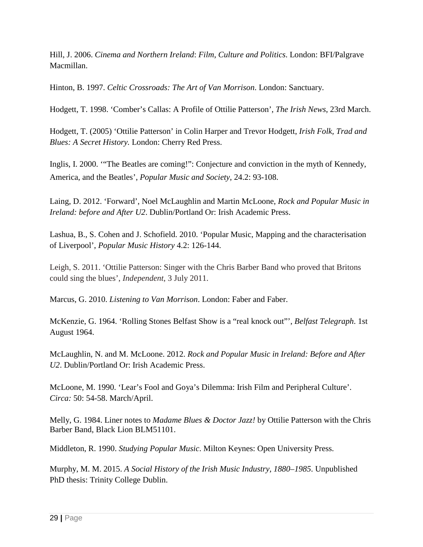Hill, J. 2006. *Cinema and Northern Ireland*: *Film*, *Culture and Politics*. London: BFI/Palgrave Macmillan.

Hinton, B. 1997. *Celtic Crossroads: The Art of Van Morrison*. London: Sanctuary.

Hodgett, T. 1998. 'Comber's Callas: A Profile of Ottilie Patterson', *The Irish News*, 23rd March.

Hodgett, T. (2005) 'Ottilie Patterson' in Colin Harper and Trevor Hodgett, *Irish Folk, Trad and Blues: A Secret History.* London: Cherry Red Press.

Inglis, I. 2000. '"The Beatles are coming!": Conjecture and conviction in the myth of Kennedy, America, and the Beatles', *Popular Music and Society*, 24.2: 93-108.

Laing, D. 2012. 'Forward', Noel McLaughlin and Martin McLoone, *Rock and Popular Music in Ireland: before and After U2*. Dublin/Portland Or: Irish Academic Press.

Lashua, B., S. Cohen and J. Schofield. 2010. 'Popular Music, Mapping and the characterisation of Liverpool', *Popular Music History* 4.2: 126-144.

Leigh, S. 2011. 'Ottilie Patterson: Singer with the Chris Barber Band who proved that Britons could sing the blues', *Independent*, 3 July 2011.

Marcus, G. 2010. *Listening to Van Morrison*. London: Faber and Faber.

McKenzie, G. 1964. 'Rolling Stones Belfast Show is a "real knock out"', *Belfast Telegraph*. 1st August 1964.

McLaughlin, N. and M. McLoone. 2012. *Rock and Popular Music in Ireland: Before and After U2*. Dublin/Portland Or: Irish Academic Press.

McLoone, M. 1990. 'Lear's Fool and Goya's Dilemma: Irish Film and Peripheral Culture'. *Circa:* 50: 54-58. March/April.

Melly, G. 1984. Liner notes to *Madame Blues & Doctor Jazz!* by Ottilie Patterson with the Chris Barber Band, Black Lion BLM51101.

Middleton, R. 1990. *Studying Popular Music*. Milton Keynes: Open University Press.

Murphy, M. M. 2015. *A Social History of the Irish Music Industry, 1880–1985*. Unpublished PhD thesis: Trinity College Dublin.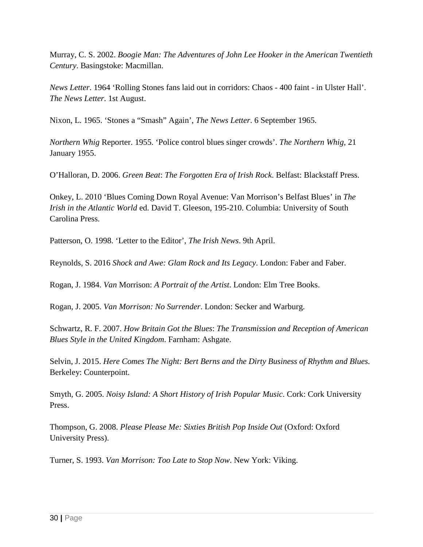Murray, C. S. 2002. *Boogie Man: The Adventures of John Lee Hooker in the American Twentieth Century*. Basingstoke: Macmillan.

*News Letter*. 1964 'Rolling Stones fans laid out in corridors: Chaos - 400 faint - in Ulster Hall'. *The News Letter*. 1st August.

Nixon, L. 1965. 'Stones a "Smash" Again', *The News Letter*. 6 September 1965.

*Northern Whig* Reporter. 1955. 'Police control blues singer crowds'. *The Northern Whig*, 21 January 1955.

O'Halloran, D. 2006. *Green Beat*: *The Forgotten Era of Irish Rock*. Belfast: Blackstaff Press.

Onkey, L. 2010 'Blues Coming Down Royal Avenue: Van Morrison's Belfast Blues' in *The Irish in the Atlantic World* ed. David T. Gleeson, 195-210. Columbia: University of South Carolina Press.

Patterson, O. 1998. 'Letter to the Editor', *The Irish News*. 9th April.

Reynolds, S. 2016 *Shock and Awe: Glam Rock and Its Legacy*. London: Faber and Faber.

Rogan, J. 1984. *Van* Morrison: *A Portrait of the Artist*. London: Elm Tree Books.

Rogan, J. 2005. *Van Morrison: No Surrender*. London: Secker and Warburg.

Schwartz, R. F. 2007. *How Britain Got the Blues*: *The Transmission and Reception of American Blues Style in the United Kingdom*. Farnham: Ashgate.

Selvin, J. 2015. *Here Comes The Night: Bert Berns and the Dirty Business of Rhythm and Blues.* Berkeley: Counterpoint.

Smyth, G. 2005. *Noisy Island: A Short History of Irish Popular Music*. Cork: Cork University Press.

Thompson, G. 2008. *Please Please Me: Sixties British Pop Inside Out* (Oxford: Oxford University Press).

Turner, S. 1993. *Van Morrison: Too Late to Stop Now*. New York: Viking.